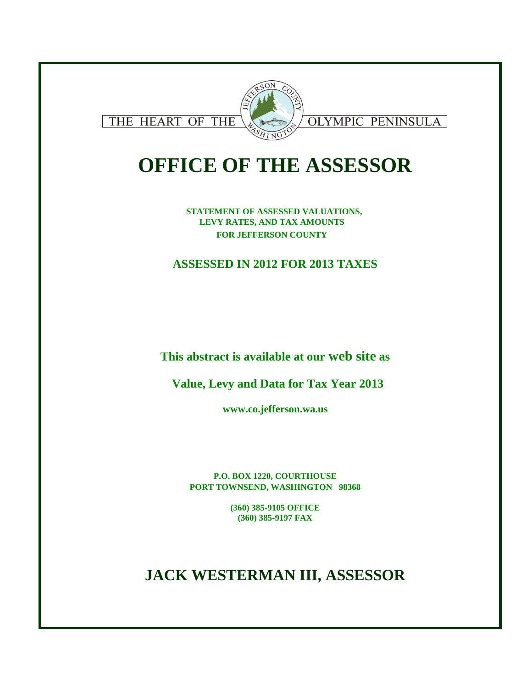

# **OFFICE OF THE ASSESSOR**

**STATEMENT OF ASSESSED VALUATIONS, LEVY RATES, AND TAX AMOUNTS FOR JEFFERSON COUNTY** 

## **ASSESSED IN 2012 FOR 2013 TAXES**

**This abstract is available at our web site as**

**Value, Levy and Data for Tax Year 2013**

**www.co.jefferson.wa.us**

**P.O. BOX 1220, COURTHOUSE PORT TOWNSEND, WASHINGTON 98368**

> **(360) 385-9105 OFFICE (360) 385-9197 FAX**

## **JACK WESTERMAN III, ASSESSOR**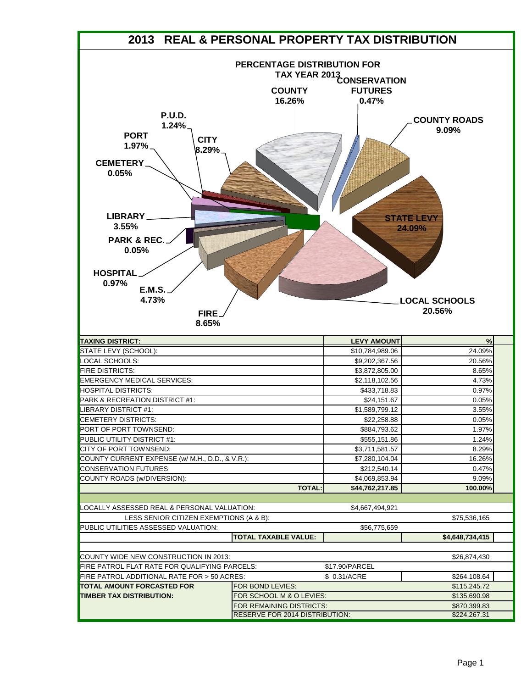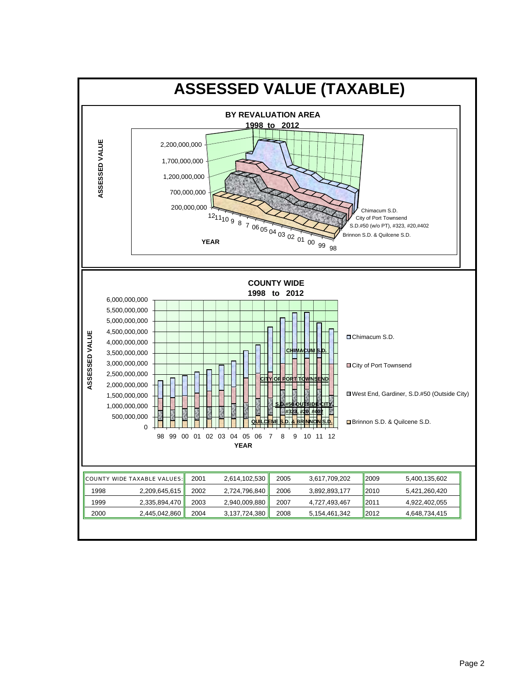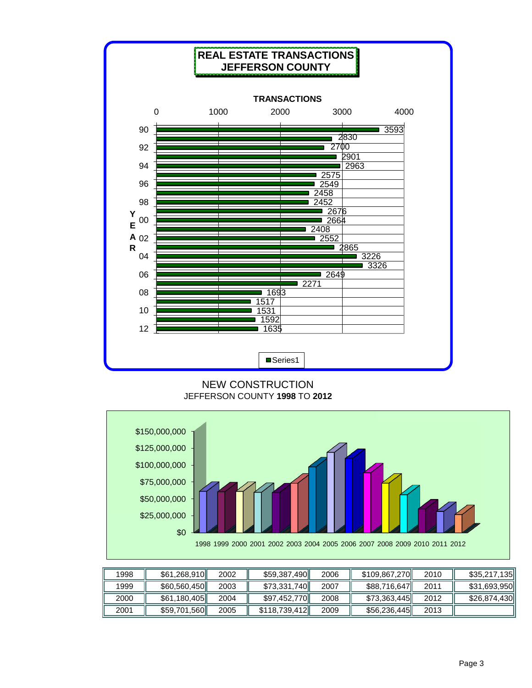

#### NEW CONSTRUCTION JEFFERSON COUNTY **1998** TO **2012**



| 1998 | \$61,268,910 | 2002 | \$59,387,490  | 2006 | \$109,867,270 | 2010 | \$35,217,135 |
|------|--------------|------|---------------|------|---------------|------|--------------|
| 1999 | \$60,560,450 | 2003 | \$73,331,740  | 2007 | \$88,716,647  | 2011 | \$31,693,950 |
| 2000 | \$61,180,405 | 2004 | \$97,452,770  | 2008 | \$73,363,445  | 2012 | \$26,874,430 |
| 2001 | \$59,701,560 | 2005 | \$118,739,412 | 2009 | \$56,236,445  | 2013 |              |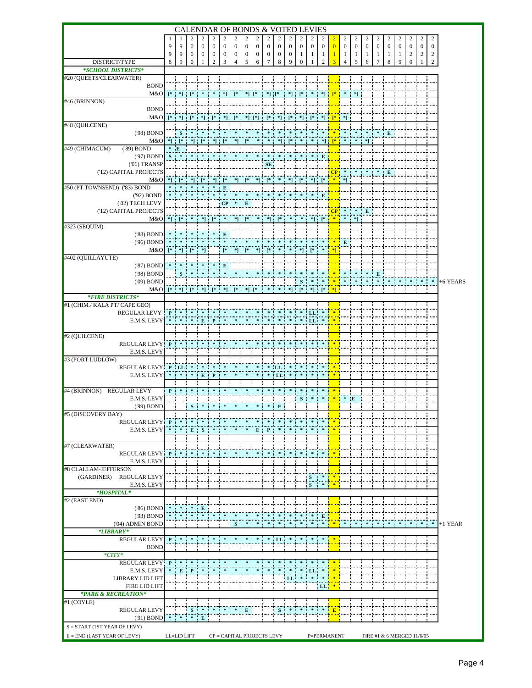|                                               |                |                                   |                                      |                                  |                                    |                                                                                                                                                                                                                                                                                                                                                                                                                                                                                                                                                                                                                                                                                             |                                  |                                  |                   |                          | <b>CALENDAR OF BONDS &amp; VOTED LEVIES</b>                                                                                                                                                                                                                                                                                                                                                                                                                                                                                                   |                                  |                              |                           |                       |                        |                       |                         |                         |                   |                   |                   |                   |                                         |                       |           |
|-----------------------------------------------|----------------|-----------------------------------|--------------------------------------|----------------------------------|------------------------------------|---------------------------------------------------------------------------------------------------------------------------------------------------------------------------------------------------------------------------------------------------------------------------------------------------------------------------------------------------------------------------------------------------------------------------------------------------------------------------------------------------------------------------------------------------------------------------------------------------------------------------------------------------------------------------------------------|----------------------------------|----------------------------------|-------------------|--------------------------|-----------------------------------------------------------------------------------------------------------------------------------------------------------------------------------------------------------------------------------------------------------------------------------------------------------------------------------------------------------------------------------------------------------------------------------------------------------------------------------------------------------------------------------------------|----------------------------------|------------------------------|---------------------------|-----------------------|------------------------|-----------------------|-------------------------|-------------------------|-------------------|-------------------|-------------------|-------------------|-----------------------------------------|-----------------------|-----------|
|                                               |                |                                   | 2                                    | 2                                | $\overline{c}$                     | 2                                                                                                                                                                                                                                                                                                                                                                                                                                                                                                                                                                                                                                                                                           | 2                                | 2                                | 2                 | 2                        | 2                                                                                                                                                                                                                                                                                                                                                                                                                                                                                                                                             | 2                                |                              |                           | 2                     |                        |                       |                         |                         |                   | 2                 |                   |                   |                                         | 2                     |           |
|                                               | 9<br>9         | 9<br>9                            | $\mathbf{0}$<br>0                    | $\mathbf{0}$<br>$\boldsymbol{0}$ | $\overline{0}$<br>$\boldsymbol{0}$ | $\mathbf{0}$<br>$\bf{0}$                                                                                                                                                                                                                                                                                                                                                                                                                                                                                                                                                                                                                                                                    | $\mathbf{0}$<br>$\boldsymbol{0}$ | $\mathbf{0}$<br>$\boldsymbol{0}$ | $\mathbf{0}$<br>0 | $\mathbf{0}$<br>$\bf{0}$ | $\mathbf{0}$<br>$\bf{0}$                                                                                                                                                                                                                                                                                                                                                                                                                                                                                                                      | $\mathbf{0}$<br>$\boldsymbol{0}$ | $\mathbf{0}$<br>$\mathbf{1}$ | $\boldsymbol{0}$<br>-1    | $\boldsymbol{0}$<br>1 | $\overline{0}$         | $\boldsymbol{0}$<br>1 | $\mathbf{0}$<br>$\perp$ | $\mathbf{0}$<br>$\perp$ | $\mathbf{0}$<br>1 | $\mathbf{0}$<br>1 | $\mathbf{0}$<br>1 | $\mathbf{0}$<br>2 | $\mathbf{0}$<br>$\overline{\mathbf{c}}$ | $\boldsymbol{0}$<br>2 |           |
| DISTRICT/TYPE                                 | 8              | 9                                 | $\mathbf{0}$                         | 1                                | $\overline{2}$                     | 3                                                                                                                                                                                                                                                                                                                                                                                                                                                                                                                                                                                                                                                                                           | 4                                | 5                                | 6                 | 7                        | 8                                                                                                                                                                                                                                                                                                                                                                                                                                                                                                                                             | 9                                | $\mathbf{0}$                 |                           | $\mathfrak{I}$        |                        | $\overline{4}$        | 5                       | 6                       |                   | 8                 | 9                 | $\overline{0}$    |                                         | 2                     |           |
| *SCHOOL DISTRICTS*                            |                |                                   |                                      |                                  |                                    |                                                                                                                                                                                                                                                                                                                                                                                                                                                                                                                                                                                                                                                                                             |                                  |                                  |                   |                          |                                                                                                                                                                                                                                                                                                                                                                                                                                                                                                                                               |                                  |                              |                           |                       |                        |                       |                         |                         |                   |                   |                   |                   |                                         |                       |           |
| #20 (QUEETS/CLEARWATER)<br><b>BOND</b>        |                |                                   |                                      |                                  |                                    |                                                                                                                                                                                                                                                                                                                                                                                                                                                                                                                                                                                                                                                                                             |                                  |                                  |                   |                          |                                                                                                                                                                                                                                                                                                                                                                                                                                                                                                                                               |                                  |                              |                           |                       |                        |                       |                         |                         |                   |                   |                   |                   |                                         |                       |           |
| M&O                                           |                |                                   | $[* *] [*]$                          | $\mathcal{R}$ .                  | $\ast$ .                           | *] :                                                                                                                                                                                                                                                                                                                                                                                                                                                                                                                                                                                                                                                                                        | $\mathsf{I}^*$                   | $*$ ] [ $*$                      |                   | $*$ ] [*                 |                                                                                                                                                                                                                                                                                                                                                                                                                                                                                                                                               |                                  | $*$ $*$                      | $\ast$                    | $^*$ 1                |                        |                       | *1                      |                         |                   |                   |                   |                   |                                         |                       |           |
| #46 (BRINNON)                                 |                |                                   |                                      |                                  |                                    |                                                                                                                                                                                                                                                                                                                                                                                                                                                                                                                                                                                                                                                                                             |                                  |                                  |                   |                          |                                                                                                                                                                                                                                                                                                                                                                                                                                                                                                                                               |                                  |                              |                           |                       |                        |                       |                         |                         |                   |                   |                   |                   |                                         |                       |           |
| <b>BOND</b><br>M&O                            |                |                                   |                                      |                                  |                                    |                                                                                                                                                                                                                                                                                                                                                                                                                                                                                                                                                                                                                                                                                             |                                  |                                  |                   |                          | $[\begin{array}{c} * & * \\ * & * \end{array}]\cdot[\begin{array}{c} * & * \\ * & * \end{array}]\cdot[\begin{array}{c} * & * \\ * & * \end{array}]\cdot[\begin{array}{c} * & * \\ * & * \end{array}]\cdot[\begin{array}{c} * & * \\ * & * \end{array}]\cdot[\begin{array}{c} * & * \\ * & * \end{array}]\cdot[\begin{array}{c} * & * \\ * & * \end{array}]\cdot[\begin{array}{c} * & * \\ * & * \end{array}]\cdot[\begin{array}{c} * & * \\ * & * \end{array}]\cdot[\begin{array}{c} * & * \\ * & * \end{array}]\cdot[\begin{array}{c} * & *$ |                                  |                              |                           |                       |                        |                       |                         |                         |                   |                   |                   |                   |                                         |                       |           |
| #48 (QUILCENE)                                |                |                                   |                                      |                                  |                                    |                                                                                                                                                                                                                                                                                                                                                                                                                                                                                                                                                                                                                                                                                             |                                  |                                  |                   |                          |                                                                                                                                                                                                                                                                                                                                                                                                                                                                                                                                               |                                  |                              |                           |                       |                        |                       |                         |                         |                   |                   |                   |                   |                                         |                       |           |
| ('98) BOND                                    |                | S                                 |                                      |                                  |                                    |                                                                                                                                                                                                                                                                                                                                                                                                                                                                                                                                                                                                                                                                                             |                                  |                                  |                   |                          |                                                                                                                                                                                                                                                                                                                                                                                                                                                                                                                                               |                                  |                              |                           |                       |                        |                       |                         |                         |                   | E                 |                   |                   |                                         |                       |           |
| M&O<br>#49 (CHIMACUM)<br>$(89)$ BOND          | *              | $*$ $*$ $*$ $*$<br>$$\mathbf{E}$$ |                                      |                                  |                                    | ${\color{red}*}{\color{black}} {\color{black}} \vdots {\color{black}} {\color{black}} \lbrack {\color{black}} {\color{black}} {\color{black}} {\color{black}} \vdots {\color{black}} {\color{black}} {\color{black}} {\color{black}} {\color{black}} \rbrack {\color{black}} \rbrack {\color{black}} {\color{black}} {\color{black}} {\color{black}} {\color{black}} \rbrack {\color{black}} {\color{black}} {\color{black}} {\color{black}} {\color{black}} \rbrack {\color{black}} {\color{black}} {\color{black}} {\color{black}} {\color{black}} {\color{black}} \rbrack {\color{black}} {\color{black}} {\color{black}} {\color{black}} {\color{black}} {\color{black}} {\color{black$ |                                  |                                  |                   |                          |                                                                                                                                                                                                                                                                                                                                                                                                                                                                                                                                               | $*$ ] [*                         |                              | $\mathcal{R}=\mathcal{R}$ |                       | $*$ $*$ $*$            |                       |                         | *]                      |                   |                   |                   |                   |                                         |                       |           |
| ('97) BOND                                    | S              |                                   |                                      |                                  |                                    |                                                                                                                                                                                                                                                                                                                                                                                                                                                                                                                                                                                                                                                                                             |                                  |                                  |                   |                          |                                                                                                                                                                                                                                                                                                                                                                                                                                                                                                                                               |                                  |                              |                           | E                     |                        |                       |                         |                         |                   |                   |                   |                   |                                         |                       |           |
| $(06)$ TRANSP                                 |                |                                   |                                      |                                  |                                    |                                                                                                                                                                                                                                                                                                                                                                                                                                                                                                                                                                                                                                                                                             |                                  |                                  |                   | SE                       |                                                                                                                                                                                                                                                                                                                                                                                                                                                                                                                                               |                                  |                              |                           |                       |                        |                       |                         |                         |                   |                   |                   |                   |                                         |                       |           |
| ('12) CAPITAL PROJECTS<br>M&O                 | *1 :           | - F* 1                            |                                      | $*$ ] [*                         |                                    | $*$ ] [*                                                                                                                                                                                                                                                                                                                                                                                                                                                                                                                                                                                                                                                                                    |                                  |                                  |                   |                          | $*] \; [ * \; ] \; [ * \; ] \; * \; ] \; * ] \; [ * \; ] \; * ] \; [ * \; ] \; * ] \; * ]$                                                                                                                                                                                                                                                                                                                                                                                                                                                    |                                  |                              |                           |                       | $CP$ *                 |                       |                         |                         |                   | E                 |                   |                   |                                         |                       |           |
| #50 (PT TOWNSEND) ('83) BOND                  |                |                                   |                                      |                                  |                                    | ${\bf E}$                                                                                                                                                                                                                                                                                                                                                                                                                                                                                                                                                                                                                                                                                   |                                  |                                  |                   |                          |                                                                                                                                                                                                                                                                                                                                                                                                                                                                                                                                               |                                  |                              |                           |                       |                        |                       |                         |                         |                   |                   |                   |                   |                                         |                       |           |
| ('92) BOND                                    |                |                                   |                                      |                                  |                                    |                                                                                                                                                                                                                                                                                                                                                                                                                                                                                                                                                                                                                                                                                             |                                  |                                  |                   |                          |                                                                                                                                                                                                                                                                                                                                                                                                                                                                                                                                               |                                  |                              |                           | E                     |                        |                       |                         |                         |                   |                   |                   |                   |                                         |                       |           |
| ('02) TECH LEVY                               |                |                                   |                                      |                                  |                                    | CP:                                                                                                                                                                                                                                                                                                                                                                                                                                                                                                                                                                                                                                                                                         |                                  | $\mathbf{E}$                     |                   |                          |                                                                                                                                                                                                                                                                                                                                                                                                                                                                                                                                               |                                  |                              |                           |                       |                        |                       | $CP$ $*$ $*$ $E$        |                         |                   |                   |                   |                   |                                         |                       |           |
| ('12) CAPITAL PROJECTS<br>M&O                 |                | $*$ $*$ $*$                       |                                      |                                  |                                    | $*$ ] [* *                                                                                                                                                                                                                                                                                                                                                                                                                                                                                                                                                                                                                                                                                  |                                  |                                  |                   |                          |                                                                                                                                                                                                                                                                                                                                                                                                                                                                                                                                               |                                  |                              |                           |                       |                        |                       | *1                      |                         |                   |                   |                   |                   |                                         |                       |           |
| #323 (SEQUIM)                                 |                |                                   |                                      |                                  |                                    |                                                                                                                                                                                                                                                                                                                                                                                                                                                                                                                                                                                                                                                                                             |                                  |                                  |                   |                          |                                                                                                                                                                                                                                                                                                                                                                                                                                                                                                                                               |                                  |                              |                           |                       |                        |                       |                         |                         |                   |                   |                   |                   |                                         |                       |           |
| ('88) BOND                                    |                |                                   |                                      |                                  |                                    |                                                                                                                                                                                                                                                                                                                                                                                                                                                                                                                                                                                                                                                                                             |                                  |                                  |                   |                          |                                                                                                                                                                                                                                                                                                                                                                                                                                                                                                                                               |                                  |                              |                           |                       |                        |                       |                         |                         |                   |                   |                   |                   |                                         |                       |           |
| ('96) BOND<br>M&O                             |                |                                   |                                      |                                  |                                    | [*                                                                                                                                                                                                                                                                                                                                                                                                                                                                                                                                                                                                                                                                                          |                                  | $*$ $*$ $*$                      |                   | $*$ $*$                  |                                                                                                                                                                                                                                                                                                                                                                                                                                                                                                                                               |                                  | $*1$                         | $\mathbb{R}^*$            |                       | $\left  \cdot \right $ | $\mathbf{E}$          |                         |                         |                   |                   |                   |                   |                                         |                       |           |
| #402 (QUILLAYUTE)                             |                |                                   |                                      |                                  |                                    |                                                                                                                                                                                                                                                                                                                                                                                                                                                                                                                                                                                                                                                                                             |                                  |                                  |                   |                          |                                                                                                                                                                                                                                                                                                                                                                                                                                                                                                                                               |                                  |                              |                           |                       |                        |                       |                         |                         |                   |                   |                   |                   |                                         |                       |           |
| ('87) BOND                                    |                |                                   |                                      |                                  |                                    | E                                                                                                                                                                                                                                                                                                                                                                                                                                                                                                                                                                                                                                                                                           |                                  |                                  |                   |                          |                                                                                                                                                                                                                                                                                                                                                                                                                                                                                                                                               |                                  |                              |                           |                       |                        |                       |                         |                         |                   |                   |                   |                   |                                         |                       |           |
| ('98) BOND<br>('09) BOND                      |                | S                                 |                                      |                                  |                                    |                                                                                                                                                                                                                                                                                                                                                                                                                                                                                                                                                                                                                                                                                             |                                  |                                  |                   |                          |                                                                                                                                                                                                                                                                                                                                                                                                                                                                                                                                               |                                  | $\bf{s}$                     |                           |                       |                        |                       |                         |                         | E                 |                   |                   |                   |                                         | $*$ $*$               | +6 YEARS  |
| M&O                                           |                |                                   | $[* *] [* *] [*]$                    |                                  |                                    | $ *]$                                                                                                                                                                                                                                                                                                                                                                                                                                                                                                                                                                                                                                                                                       | $[$ *                            | $*$ ] [*                         |                   |                          |                                                                                                                                                                                                                                                                                                                                                                                                                                                                                                                                               |                                  |                              | *1                        |                       |                        |                       |                         |                         |                   |                   |                   |                   |                                         |                       |           |
| *FIRE DISTRICTS*                              |                |                                   |                                      |                                  |                                    |                                                                                                                                                                                                                                                                                                                                                                                                                                                                                                                                                                                                                                                                                             |                                  |                                  |                   |                          |                                                                                                                                                                                                                                                                                                                                                                                                                                                                                                                                               |                                  |                              |                           |                       |                        |                       |                         |                         |                   |                   |                   |                   |                                         |                       |           |
| #1 (CHIM./ KALA PT/ CAPE GEO)<br>REGULAR LEVY |                |                                   |                                      |                                  |                                    |                                                                                                                                                                                                                                                                                                                                                                                                                                                                                                                                                                                                                                                                                             |                                  |                                  |                   |                          |                                                                                                                                                                                                                                                                                                                                                                                                                                                                                                                                               |                                  |                              | LL                        |                       |                        |                       |                         |                         |                   |                   |                   |                   |                                         |                       |           |
| E.M.S. LEVY                                   |                |                                   |                                      | $E$ $P$                          |                                    |                                                                                                                                                                                                                                                                                                                                                                                                                                                                                                                                                                                                                                                                                             |                                  |                                  |                   |                          |                                                                                                                                                                                                                                                                                                                                                                                                                                                                                                                                               |                                  |                              | LL                        |                       |                        |                       |                         |                         |                   |                   |                   |                   |                                         |                       |           |
|                                               |                |                                   |                                      |                                  |                                    |                                                                                                                                                                                                                                                                                                                                                                                                                                                                                                                                                                                                                                                                                             |                                  |                                  |                   |                          |                                                                                                                                                                                                                                                                                                                                                                                                                                                                                                                                               |                                  |                              |                           |                       |                        |                       |                         |                         |                   |                   |                   |                   |                                         |                       |           |
| #2 (QUILCENE)<br>REGULAR LEVY P               |                |                                   |                                      |                                  |                                    |                                                                                                                                                                                                                                                                                                                                                                                                                                                                                                                                                                                                                                                                                             |                                  |                                  |                   |                          |                                                                                                                                                                                                                                                                                                                                                                                                                                                                                                                                               |                                  |                              |                           |                       |                        |                       |                         |                         |                   |                   |                   |                   |                                         |                       |           |
| E.M.S. LEVY                                   |                |                                   |                                      |                                  |                                    |                                                                                                                                                                                                                                                                                                                                                                                                                                                                                                                                                                                                                                                                                             |                                  |                                  |                   |                          |                                                                                                                                                                                                                                                                                                                                                                                                                                                                                                                                               |                                  |                              |                           |                       |                        |                       |                         |                         |                   |                   |                   |                   |                                         |                       |           |
| #3 (PORT LUDLOW)                              |                |                                   |                                      |                                  |                                    |                                                                                                                                                                                                                                                                                                                                                                                                                                                                                                                                                                                                                                                                                             |                                  |                                  |                   |                          |                                                                                                                                                                                                                                                                                                                                                                                                                                                                                                                                               |                                  |                              |                           |                       |                        |                       |                         |                         |                   |                   |                   |                   |                                         |                       |           |
| REGULAR LEVY PLL<br>E.M.S. LEVY               | <b>British</b> |                                   | $*$ $*$ $E$ $P$                      |                                  |                                    | $\ast$                                                                                                                                                                                                                                                                                                                                                                                                                                                                                                                                                                                                                                                                                      | $\ast$ .                         |                                  |                   |                          | LL<br>LL                                                                                                                                                                                                                                                                                                                                                                                                                                                                                                                                      |                                  |                              |                           |                       |                        |                       |                         |                         |                   |                   |                   |                   |                                         |                       |           |
|                                               |                |                                   |                                      |                                  |                                    |                                                                                                                                                                                                                                                                                                                                                                                                                                                                                                                                                                                                                                                                                             |                                  |                                  |                   |                          |                                                                                                                                                                                                                                                                                                                                                                                                                                                                                                                                               |                                  |                              |                           |                       |                        |                       |                         |                         |                   |                   |                   |                   |                                         |                       |           |
| #4 (BRINNON) REGULAR LEVY                     | $\mathbf{P}$   |                                   |                                      |                                  |                                    |                                                                                                                                                                                                                                                                                                                                                                                                                                                                                                                                                                                                                                                                                             |                                  |                                  |                   |                          |                                                                                                                                                                                                                                                                                                                                                                                                                                                                                                                                               |                                  |                              |                           |                       |                        |                       |                         |                         |                   |                   |                   |                   |                                         |                       |           |
| E.M.S. LEVY<br>('99) BOND                     |                |                                   |                                      |                                  |                                    |                                                                                                                                                                                                                                                                                                                                                                                                                                                                                                                                                                                                                                                                                             |                                  |                                  |                   |                          |                                                                                                                                                                                                                                                                                                                                                                                                                                                                                                                                               |                                  | ${\bf S}$                    |                           |                       |                        | $*$ E                 |                         |                         |                   |                   |                   |                   |                                         |                       |           |
| #5 (DISCOVERY BAY)                            |                |                                   |                                      |                                  |                                    |                                                                                                                                                                                                                                                                                                                                                                                                                                                                                                                                                                                                                                                                                             |                                  |                                  |                   |                          |                                                                                                                                                                                                                                                                                                                                                                                                                                                                                                                                               |                                  |                              |                           |                       |                        |                       |                         |                         |                   |                   |                   |                   |                                         |                       |           |
| <b>REGULAR LEVY P</b>                         |                |                                   |                                      |                                  |                                    |                                                                                                                                                                                                                                                                                                                                                                                                                                                                                                                                                                                                                                                                                             |                                  |                                  |                   |                          |                                                                                                                                                                                                                                                                                                                                                                                                                                                                                                                                               |                                  |                              |                           |                       |                        |                       |                         |                         |                   |                   |                   |                   |                                         |                       |           |
| E.M.S. LEVY                                   | *              |                                   | $E$ $E$ $S$                          |                                  |                                    |                                                                                                                                                                                                                                                                                                                                                                                                                                                                                                                                                                                                                                                                                             |                                  |                                  |                   | $E \t P$                 |                                                                                                                                                                                                                                                                                                                                                                                                                                                                                                                                               |                                  |                              |                           |                       |                        |                       |                         |                         |                   |                   |                   |                   |                                         |                       |           |
| #7 (CLEARWATER)                               |                |                                   |                                      |                                  |                                    |                                                                                                                                                                                                                                                                                                                                                                                                                                                                                                                                                                                                                                                                                             |                                  |                                  |                   |                          |                                                                                                                                                                                                                                                                                                                                                                                                                                                                                                                                               |                                  |                              |                           |                       |                        |                       |                         |                         |                   |                   |                   |                   |                                         |                       |           |
| REGULAR LEVY P                                |                |                                   |                                      |                                  |                                    |                                                                                                                                                                                                                                                                                                                                                                                                                                                                                                                                                                                                                                                                                             |                                  |                                  |                   |                          |                                                                                                                                                                                                                                                                                                                                                                                                                                                                                                                                               |                                  |                              |                           |                       |                        |                       |                         |                         |                   |                   |                   |                   |                                         |                       |           |
| E.M.S. LEVY<br>#8 CLALLAM-JEFFERSON           |                |                                   |                                      |                                  |                                    |                                                                                                                                                                                                                                                                                                                                                                                                                                                                                                                                                                                                                                                                                             |                                  |                                  |                   |                          |                                                                                                                                                                                                                                                                                                                                                                                                                                                                                                                                               |                                  |                              |                           |                       |                        |                       |                         |                         |                   |                   |                   |                   |                                         |                       |           |
| (GARDINER) REGULAR LEVY                       |                |                                   |                                      |                                  |                                    |                                                                                                                                                                                                                                                                                                                                                                                                                                                                                                                                                                                                                                                                                             |                                  |                                  |                   |                          |                                                                                                                                                                                                                                                                                                                                                                                                                                                                                                                                               |                                  |                              | s                         | $\mathbf{x}$          |                        |                       |                         |                         |                   |                   |                   |                   |                                         |                       |           |
| E.M.S. LEVY                                   |                |                                   |                                      |                                  |                                    |                                                                                                                                                                                                                                                                                                                                                                                                                                                                                                                                                                                                                                                                                             |                                  |                                  |                   |                          |                                                                                                                                                                                                                                                                                                                                                                                                                                                                                                                                               |                                  |                              | : s                       |                       |                        |                       |                         |                         |                   |                   |                   |                   |                                         |                       |           |
| *HOSPITAL*<br>#2 (EAST END)                   |                |                                   |                                      |                                  |                                    |                                                                                                                                                                                                                                                                                                                                                                                                                                                                                                                                                                                                                                                                                             |                                  |                                  |                   |                          |                                                                                                                                                                                                                                                                                                                                                                                                                                                                                                                                               |                                  |                              |                           |                       |                        |                       |                         |                         |                   |                   |                   |                   |                                         |                       |           |
| $(86)$ BOND                                   |                |                                   |                                      | $*$ E                            |                                    |                                                                                                                                                                                                                                                                                                                                                                                                                                                                                                                                                                                                                                                                                             |                                  |                                  |                   |                          |                                                                                                                                                                                                                                                                                                                                                                                                                                                                                                                                               |                                  |                              |                           |                       |                        |                       |                         |                         |                   |                   |                   |                   |                                         |                       |           |
| ('93) BOND                                    |                |                                   |                                      |                                  |                                    |                                                                                                                                                                                                                                                                                                                                                                                                                                                                                                                                                                                                                                                                                             |                                  |                                  |                   |                          |                                                                                                                                                                                                                                                                                                                                                                                                                                                                                                                                               |                                  | $\ast$                       | $* E$                     |                       |                        |                       |                         |                         |                   |                   |                   |                   |                                         |                       |           |
| ('04) ADMIN BOND<br>*LIBRARY*                 |                |                                   |                                      |                                  |                                    |                                                                                                                                                                                                                                                                                                                                                                                                                                                                                                                                                                                                                                                                                             | $S_{\perp}$                      |                                  |                   | 米                        | - 24                                                                                                                                                                                                                                                                                                                                                                                                                                                                                                                                          | *                                |                              | $\ast$ , $\ast$           | $\ast$                | ÷                      |                       |                         |                         |                   |                   |                   |                   |                                         | *                     | $+1$ YEAR |
| <b>REGULAR LEVY</b>                           | P              |                                   |                                      |                                  |                                    |                                                                                                                                                                                                                                                                                                                                                                                                                                                                                                                                                                                                                                                                                             |                                  |                                  |                   |                          |                                                                                                                                                                                                                                                                                                                                                                                                                                                                                                                                               |                                  |                              |                           |                       |                        |                       |                         |                         |                   |                   |                   |                   |                                         |                       |           |
| <b>BOND</b>                                   |                |                                   |                                      |                                  |                                    |                                                                                                                                                                                                                                                                                                                                                                                                                                                                                                                                                                                                                                                                                             |                                  |                                  |                   |                          |                                                                                                                                                                                                                                                                                                                                                                                                                                                                                                                                               |                                  |                              |                           |                       |                        |                       |                         |                         |                   |                   |                   |                   |                                         |                       |           |
| $*CITY*$<br><b>REGULAR LEVY</b>               | $\mathbf{P}$   |                                   |                                      |                                  |                                    |                                                                                                                                                                                                                                                                                                                                                                                                                                                                                                                                                                                                                                                                                             |                                  |                                  |                   |                          |                                                                                                                                                                                                                                                                                                                                                                                                                                                                                                                                               |                                  |                              |                           |                       |                        |                       |                         |                         |                   |                   |                   |                   |                                         |                       |           |
| E.M.S. LEVY                                   |                |                                   | $E$ $P$                              |                                  |                                    |                                                                                                                                                                                                                                                                                                                                                                                                                                                                                                                                                                                                                                                                                             |                                  |                                  |                   |                          |                                                                                                                                                                                                                                                                                                                                                                                                                                                                                                                                               |                                  |                              | LL                        | *                     | 惨<br>÷                 |                       |                         |                         |                   |                   |                   |                   |                                         |                       |           |
| LIBRARY LID LIFT                              |                |                                   |                                      |                                  |                                    |                                                                                                                                                                                                                                                                                                                                                                                                                                                                                                                                                                                                                                                                                             |                                  |                                  |                   |                          |                                                                                                                                                                                                                                                                                                                                                                                                                                                                                                                                               | LL                               | $\cdot$                      | $\ast$                    | $\ast$<br>.           |                        |                       |                         |                         |                   |                   |                   |                   |                                         |                       |           |
| <b>FIRE LID LIFT</b>                          |                |                                   |                                      |                                  |                                    |                                                                                                                                                                                                                                                                                                                                                                                                                                                                                                                                                                                                                                                                                             |                                  |                                  |                   |                          |                                                                                                                                                                                                                                                                                                                                                                                                                                                                                                                                               |                                  |                              |                           | LL                    | 一家                     |                       |                         |                         |                   |                   |                   |                   |                                         |                       |           |
| *PARK & RECREATION*<br>#1 (COYLE)             |                |                                   |                                      |                                  |                                    |                                                                                                                                                                                                                                                                                                                                                                                                                                                                                                                                                                                                                                                                                             |                                  |                                  |                   |                          |                                                                                                                                                                                                                                                                                                                                                                                                                                                                                                                                               |                                  |                              |                           |                       |                        |                       |                         |                         |                   |                   |                   |                   |                                         |                       |           |
| <b>REGULAR LEVY</b>                           |                |                                   | S                                    |                                  |                                    |                                                                                                                                                                                                                                                                                                                                                                                                                                                                                                                                                                                                                                                                                             |                                  | E                                |                   |                          | S                                                                                                                                                                                                                                                                                                                                                                                                                                                                                                                                             |                                  |                              |                           |                       | $*$ E                  |                       |                         |                         |                   |                   |                   |                   |                                         |                       |           |
| ('91) BOND                                    |                |                                   | $* \quad * \quad * \quad \mathbf{E}$ |                                  |                                    |                                                                                                                                                                                                                                                                                                                                                                                                                                                                                                                                                                                                                                                                                             |                                  |                                  |                   |                          |                                                                                                                                                                                                                                                                                                                                                                                                                                                                                                                                               |                                  |                              |                           |                       |                        |                       |                         |                         |                   |                   |                   |                   |                                         |                       |           |
| $S = \text{START}$ (1ST YEAR OF LEVY)         |                |                                   |                                      |                                  |                                    |                                                                                                                                                                                                                                                                                                                                                                                                                                                                                                                                                                                                                                                                                             |                                  |                                  |                   |                          |                                                                                                                                                                                                                                                                                                                                                                                                                                                                                                                                               |                                  |                              |                           |                       |                        |                       |                         |                         |                   |                   |                   |                   |                                         |                       |           |
| $E = END$ (LAST YEAR OF LEVY)                 | LL=LID LIFT    |                                   |                                      |                                  |                                    | CP = CAPITAL PROJECTS LEVY                                                                                                                                                                                                                                                                                                                                                                                                                                                                                                                                                                                                                                                                  |                                  |                                  |                   |                          |                                                                                                                                                                                                                                                                                                                                                                                                                                                                                                                                               |                                  |                              |                           |                       | P=PERMANENT            |                       |                         |                         |                   |                   |                   |                   | FIRE #1 & 6 MERGED 11/6/05              |                       |           |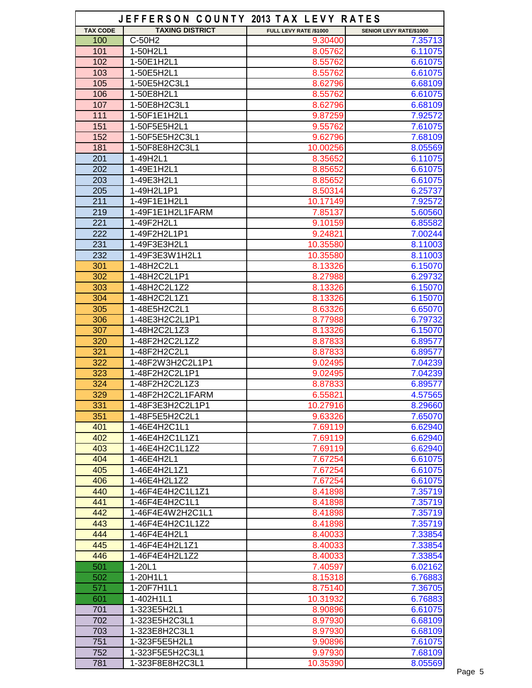|                 | JEFFERSON COUNTY 2013 TAX LEVY RATES |                        |                         |
|-----------------|--------------------------------------|------------------------|-------------------------|
| <b>TAX CODE</b> | <b>TAXING DISTRICT</b>               | FULL LEVY RATE /\$1000 | SENIOR LEVY RATE/\$1000 |
| 100             | C-50H2                               | 9.30400                | 7.35713                 |
| 101             | 1-50H2L1                             | 8.05762                | 6.11075                 |
| 102             | 1-50E1H2L1                           | 8.55762                | 6.61075                 |
| 103             | 1-50E5H2L1                           | 8.55762                | 6.61075                 |
| 105             | 1-50E5H2C3L1                         | 8.62796                | 6.68109                 |
| 106             | 1-50E8H2L1                           | 8.55762                | 6.61075                 |
| 107             | 1-50E8H2C3L1                         | 8.62796                | 6.68109                 |
| 111             | 1-50F1E1H2L1                         | 9.87259                | 7.92572                 |
| 151             | 1-50F5E5H2L1                         | 9.55762                | 7.61075                 |
| 152             | 1-50F5E5H2C3L1                       | 9.62796                | 7.68109                 |
| 181             | 1-50F8E8H2C3L1                       | 10.00256               | 8.05569                 |
| 201             | 1-49H2L1                             | 8.35652                | 6.11075                 |
| 202             | 1-49E1H2L1                           | 8.85652                | 6.61075                 |
| 203             | 1-49E3H2L1                           | 8.85652                | 6.61075                 |
| 205             | 1-49H2L1P1                           | 8.50314                | 6.25737                 |
| 211             |                                      |                        |                         |
| 219             | 1-49F1E1H2L1<br>1-49F1E1H2L1FARM     | 10.17149               | 7.92572<br>5.60560      |
|                 |                                      | 7.85137                |                         |
| 221             | 1-49F2H2L1                           | 9.10159                | 6.85582                 |
| 222             | 1-49F2H2L1P1                         | 9.24821                | 7.00244                 |
| 231             | 1-49F3E3H2L1                         | 10.35580               | 8.11003                 |
| 232             | 1-49F3E3W1H2L1                       | 10.35580               | 8.11003                 |
| 301             | 1-48H2C2L1                           | 8.13326                | 6.15070                 |
| 302             | 1-48H2C2L1P1                         | 8.27988                | 6.29732                 |
| 303             | 1-48H2C2L1Z2                         | 8.13326                | 6.15070                 |
| 304             | 1-48H2C2L1Z1                         | 8.13326                | 6.15070                 |
| 305             | 1-48E5H2C2L1                         | 8.63326                | 6.65070                 |
| 306             | 1-48E3H2C2L1P1                       | 8.77988                | 6.79732                 |
| 307             | 1-48H2C2L1Z3                         | 8.13326                | 6.15070                 |
| 320             | 1-48F2H2C2L1Z2                       | 8.87833                | 6.89577                 |
| 321             | 1-48F2H2C2L1                         | 8.87833                | 6.89577                 |
| 322             | 1-48F2W3H2C2L1P1                     | 9.02495                | 7.04239                 |
| 323             | 1-48F2H2C2L1P1                       | 9.02495                | 7.04239                 |
| 324             | 1-48F2H2C2L1Z3                       | 8.87833                | 6.89577                 |
| 329             | 1-48F2H2C2L1FARM                     | 6.55821                | 4.57565                 |
| 331             | 1-48F3E3H2C2L1P1                     | 10.27916               | 8.29660                 |
| 351             | 1-48F5E5H2C2L1                       | 9.63326                | 7.65070                 |
| 401             | 1-46E4H2C1L1                         | 7.69119                | 6.62940                 |
| 402             | 1-46E4H2C1L1Z1                       | 7.69119                | 6.62940                 |
| 403             | 1-46E4H2C1L1Z2                       | 7.69119                | 6.62940                 |
| 404             | 1-46E4H2L1                           | 7.67254                | 6.61075                 |
| 405             | 1-46E4H2L1Z1                         | 7.67254                | 6.61075                 |
| 406             | 1-46E4H2L1Z2                         | 7.67254                | 6.61075                 |
| 440             | 1-46F4E4H2C1L1Z1                     | 8.41898                | 7.35719                 |
| 441             | 1-46F4E4H2C1L1                       | 8.41898                | 7.35719                 |
| 442             | 1-46F4E4W2H2C1L1                     | 8.41898                | 7.35719                 |
| 443             | 1-46F4E4H2C1L1Z2                     | 8.41898                | 7.35719                 |
| 444             | 1-46F4E4H2L1                         | 8.40033                | 7.33854                 |
| 445             | 1-46F4E4H2L1Z1                       | 8.40033                | 7.33854                 |
| 446             | 1-46F4E4H2L1Z2                       | 8.40033                | 7.33854                 |
| 501             | $1 - 20L1$                           | 7.40597                | 6.02162                 |
| 502             | 1-20H1L1                             | 8.15318                | 6.76883                 |
| 571             | 1-20F7H1L1                           | 8.75140                | 7.36705                 |
|                 |                                      |                        |                         |
| 601             | 1-402H1L1                            | 10.31932               | 6.76883                 |
| 701             | 1-323E5H2L1                          | 8.90896                | 6.61075                 |
| 702             | 1-323E5H2C3L1                        | 8.97930                | 6.68109                 |
| 703             | 1-323E8H2C3L1                        | 8.97930                | 6.68109                 |
| 751             | 1-323F5E5H2L1                        | 9.90896                | 7.61075                 |
| 752             | 1-323F5E5H2C3L1                      | 9.97930                | 7.68109                 |
| 781             | 1-323F8E8H2C3L1                      | 10.35390               | 8.05569                 |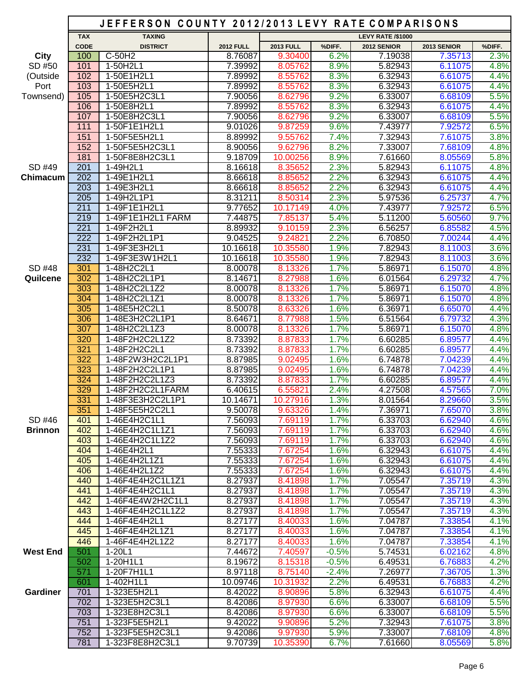|                 |                  | JEFFERSON COUNTY 2012/2013 LEVY RATE COMPARISONS |                    |                    |              |                          |                    |              |
|-----------------|------------------|--------------------------------------------------|--------------------|--------------------|--------------|--------------------------|--------------------|--------------|
|                 | <b>TAX</b>       | <b>TAXING</b>                                    |                    |                    |              | <b>LEVY RATE /\$1000</b> |                    |              |
|                 | <b>CODE</b>      | <b>DISTRICT</b>                                  | <b>2012 FULL</b>   | <b>2013 FULL</b>   | %DIFF.       | 2012 SENIOR              | 2013 SENIOR        | %DIFF.       |
| City            | 100              | $C-50H2$                                         | 8.76087            | 9.30400            | 6.2%         | 7.19038                  | 7.35713            | 2.3%         |
| SD #50          | 101              | 1-50H2L1                                         | 7.39992            | 8.05762            | 8.9%         | 5.82943                  | 6.11075            | 4.8%         |
| (Outside        | 102              | 1-50E1H2L1                                       | 7.89992            | 8.55762            | 8.3%         | 6.32943                  | 6.61075            | 4.4%         |
| Port            | 103              | 1-50E5H2L1                                       | 7.89992            | 8.55762            | 8.3%         | 6.32943                  | 6.61075            | 4.4%         |
| Townsend)       | 105              | 1-50E5H2C3L1                                     | 7.90056            | 8.62796            | 9.2%         | 6.33007                  | 6.68109            | 5.5%         |
|                 | 106<br>107       | 1-50E8H2L1<br>1-50E8H2C3L1                       | 7.89992<br>7.90056 | 8.55762<br>8.62796 | 8.3%<br>9.2% | 6.32943<br>6.33007       | 6.61075<br>6.68109 | 4.4%<br>5.5% |
|                 | 111              | 1-50F1E1H2L1                                     | 9.01026            | 9.87259            | 9.6%         | 7.43977                  | 7.92572            | 6.5%         |
|                 | 151              | 1-50F5E5H2L1                                     | 8.89992            | 9.55762            | 7.4%         | 7.32943                  | 7.61075            | 3.8%         |
|                 | 152              | 1-50F5E5H2C3L1                                   | 8.90056            | 9.62796            | 8.2%         | 7.33007                  | 7.68109            | 4.8%         |
|                 | 181              | 1-50F8E8H2C3L1                                   | 9.18709            | 10.00256           | 8.9%         | 7.61660                  | 8.05569            | 5.8%         |
| SD #49          | 201              | 1-49H2L1                                         | 8.16618            | 8.35652            | 2.3%         | 5.82943                  | 6.11075            | 4.8%         |
| Chimacum        | 202              | 1-49E1H2L1                                       | 8.66618            | 8.85652            | 2.2%         | 6.32943                  | 6.61075            | 4.4%         |
|                 | 203              | 1-49E3H2L1                                       | 8.66618            | 8.85652            | 2.2%         | 6.32943                  | 6.61075            | 4.4%         |
|                 | $\overline{205}$ | 1-49H2L1P1                                       | 8.31211            | 8.50314            | 2.3%         | 5.97536                  | 6.25737            | 4.7%         |
|                 | 211              | 1-49F1E1H2L1                                     | 9.77652            | 10.17149           | 4.0%         | 7.43977                  | 7.92572            | 6.5%         |
|                 | 219              | 1-49F1E1H2L1 FARM                                | 7.44875            | 7.85137            | 5.4%         | 5.11200                  | 5.60560            | 9.7%         |
|                 | 221              | 1-49F2H2L1                                       | 8.89932            | 9.10159            | 2.3%         | 6.56257                  | 6.85582            | 4.5%         |
|                 | 222              | 1-49F2H2L1P1                                     | 9.04525            | 9.24821            | 2.2%         | 6.70850                  | 7.00244            | 4.4%         |
|                 | 231              | 1-49F3E3H2L1                                     | 10.16618           | 10.35580           | 1.9%         | 7.82943                  | 8.11003            | 3.6%         |
|                 | 232              | 1-49F3E3W1H2L1                                   | 10.16618           | 10.35580           | 1.9%         | 7.82943                  | 8.11003            | 3.6%         |
| SD #48          | 301              | 1-48H2C2L1                                       | 8.00078            | 8.13326            | 1.7%         | 5.86971                  | 6.15070            | 4.8%         |
| Quilcene        | 302              | 1-48H2C2L1P1                                     | 8.14671            | 8.27988            | 1.6%         | 6.01564                  | 6.29732            | 4.7%         |
|                 | 303              | 1-48H2C2L1Z2                                     | 8.00078            | 8.13326            | 1.7%         | 5.86971                  | 6.15070            | 4.8%         |
|                 | 304              | 1-48H2C2L1Z1                                     | 8.00078            | 8.13326            | 1.7%         | 5.86971                  | 6.15070            | 4.8%         |
|                 | 305              | 1-48E5H2C2L1                                     | 8.50078            | 8.63326            | 1.6%         | 6.36971                  | 6.65070            | 4.4%         |
|                 | 306              | 1-48E3H2C2L1P1                                   | 8.64671            | 8.77988            | 1.5%         | 6.51564                  | 6.79732            | 4.3%         |
|                 | 307              | 1-48H2C2L1Z3                                     | 8.00078            | 8.13326            | 1.7%         | 5.86971                  | 6.15070            | 4.8%         |
|                 | 320              | 1-48F2H2C2L1Z2                                   | 8.73392            | 8.87833            | 1.7%         | 6.60285                  | 6.89577            | 4.4%         |
|                 | 321              | 1-48F2H2C2L1                                     | 8.73392            | 8.87833            | 1.7%         | 6.60285                  | 6.89577            | 4.4%         |
|                 | 322              | 1-48F2W3H2C2L1P1                                 | 8.87985            | 9.02495            | 1.6%         | 6.74878                  | 7.04239            | 4.4%         |
|                 | 323              | 1-48F2H2C2L1P1                                   | 8.87985            | 9.02495            | 1.6%         | 6.74878                  | 7.04239            | 4.4%         |
|                 | 324              | 1-48F2H2C2L1Z3                                   | 8.73392            | 8.87833            | 1.7%         | 6.60285                  | 6.89577            | 4.4%         |
|                 | 329              | 1-48F2H2C2L1FARM                                 | 6.40615            | 6.55821            | 2.4%         | 4.27508                  | 4.57565            | 7.0%         |
|                 | 331              | 1-48F3E3H2C2L1P1                                 | 10.14671           | 10.27916           | 1.3%         | 8.01564                  | 8.29660            | 3.5%         |
|                 | 351              | 1-48F5E5H2C2L1                                   | 9.50078            | 9.63326            | 1.4%         | 7.36971                  | 7.65070            | 3.8%         |
| SD #46          | 401              | 1-46E4H2C1L1                                     | 7.56093            | 7.69119            | 1.7%         | 6.33703                  | 6.62940            | 4.6%         |
| <b>Brinnon</b>  | 402              | 1-46E4H2C1L1Z1                                   | 7.56093            | 7.69119            | 1.7%         | 6.33703                  | 6.62940            | 4.6%         |
|                 | 403              | 1-46E4H2C1L1Z2                                   | 7.56093            | 7.69119            | 1.7%         | 6.33703                  | 6.62940            | 4.6%         |
|                 | 404              | 1-46E4H2L1                                       | 7.55333            | 7.67254            | 1.6%         | 6.32943                  | 6.61075            | 4.4%         |
|                 | 405              | 1-46E4H2L1Z1                                     | 7.55333            | 7.67254            | 1.6%         | 6.32943                  | 6.61075            | 4.4%         |
|                 | 406<br>440       | 1-46E4H2L1Z2<br>1-46F4E4H2C1L1Z1                 | 7.55333            | 7.67254<br>8.41898 | 1.6%<br>1.7% | 6.32943                  | 6.61075<br>7.35719 | 4.4%<br>4.3% |
|                 | 441              | 1-46F4E4H2C1L1                                   | 8.27937<br>8.27937 | 8.41898            | 1.7%         | 7.05547<br>7.05547       | 7.35719            | 4.3%         |
|                 | 442              | 1-46F4E4W2H2C1L1                                 | 8.27937            | 8.41898            | 1.7%         | 7.05547                  | 7.35719            | 4.3%         |
|                 | 443              | 1-46F4E4H2C1L1Z2                                 | 8.27937            | 8.41898            | 1.7%         | 7.05547                  | 7.35719            | 4.3%         |
|                 | 444              | 1-46F4E4H2L1                                     | 8.27177            | 8.40033            | 1.6%         | 7.04787                  | 7.33854            | 4.1%         |
|                 | 445              | 1-46F4E4H2L1Z1                                   | 8.27177            | 8.40033            | 1.6%         | 7.04787                  | 7.33854            | 4.1%         |
|                 | 446              | 1-46F4E4H2L1Z2                                   | 8.27177            | 8.40033            | 1.6%         | 7.04787                  | 7.33854            | 4.1%         |
| <b>West End</b> | 501              | $1-20L1$                                         | 7.44672            | 7.40597            | $-0.5%$      | 5.74531                  | 6.02162            | 4.8%         |
|                 | 502              | 1-20H1L1                                         | 8.19672            | 8.15318            | $-0.5%$      | 6.49531                  | 6.76883            | 4.2%         |
|                 | 571              | 1-20F7H1L1                                       | 8.97118            | 8.75140            | $-2.4%$      | 7.26977                  | 7.36705            | 1.3%         |
|                 | 601              | 1-402H1L1                                        | 10.09746           | 10.31932           | 2.2%         | 6.49531                  | 6.76883            | 4.2%         |
| <b>Gardiner</b> | 701              | 1-323E5H2L1                                      | 8.42022            | 8.90896            | 5.8%         | 6.32943                  | 6.61075            | 4.4%         |
|                 | 702              | 1-323E5H2C3L1                                    | 8.42086            | 8.97930            | 6.6%         | 6.33007                  | 6.68109            | 5.5%         |
|                 | 703              | 1-323E8H2C3L1                                    | 8.42086            | 8.97930            | 6.6%         | 6.33007                  | 6.68109            | 5.5%         |
|                 | 751              | 1-323F5E5H2L1                                    | 9.42022            | 9.90896            | 5.2%         | 7.32943                  | 7.61075            | 3.8%         |
|                 | 752              | 1-323F5E5H2C3L1                                  | 9.42086            | 9.97930            | 5.9%         | 7.33007                  | 7.68109            | 4.8%         |
|                 | 781              | 1-323F8E8H2C3L1                                  | 9.70739            | 10.35390           | 6.7%         | 7.61660                  | 8.05569            | 5.8%         |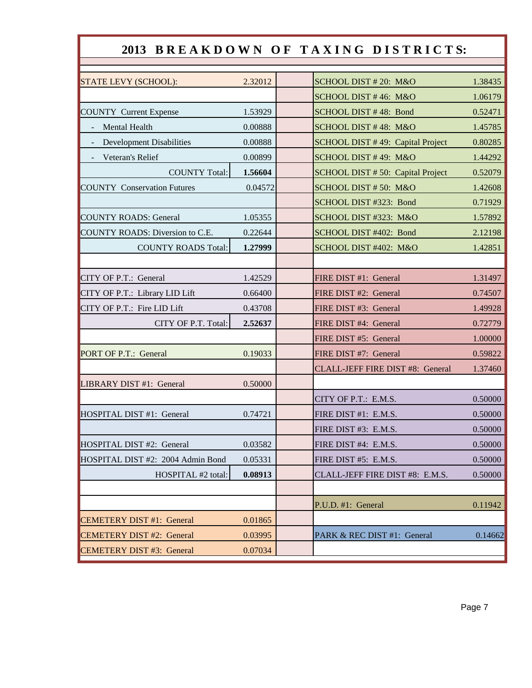## 2013 BREAKDOWN OF TAXING DISTRICTS:

| STATE LEVY (SCHOOL):               | 2.32012 | SCHOOL DIST # 20: M&O             | 1.38435 |
|------------------------------------|---------|-----------------------------------|---------|
|                                    |         | SCHOOL DIST #46: M&O              | 1.06179 |
| <b>COUNTY Current Expense</b>      | 1.53929 | SCHOOL DIST #48: Bond             | 0.52471 |
| Mental Health                      | 0.00888 | SCHOOL DIST #48: M&O              | 1.45785 |
| <b>Development Disabilities</b>    | 0.00888 | SCHOOL DIST #49: Capital Project  | 0.80285 |
| Veteran's Relief                   | 0.00899 | SCHOOL DIST #49: M&O              | 1.44292 |
| <b>COUNTY Total:</b>               | 1.56604 | SCHOOL DIST # 50: Capital Project | 0.52079 |
| <b>COUNTY Conservation Futures</b> | 0.04572 | SCHOOL DIST #50: M&O              | 1.42608 |
|                                    |         | SCHOOL DIST #323: Bond            | 0.71929 |
| <b>COUNTY ROADS: General</b>       | 1.05355 | SCHOOL DIST #323: M&O             | 1.57892 |
| COUNTY ROADS: Diversion to C.E.    | 0.22644 | SCHOOL DIST #402: Bond            | 2.12198 |
| <b>COUNTY ROADS Total:</b>         | 1.27999 | SCHOOL DIST #402: M&O             | 1.42851 |
|                                    |         |                                   |         |
| CITY OF P.T.: General              | 1.42529 | FIRE DIST #1: General             | 1.31497 |
| CITY OF P.T.: Library LID Lift     | 0.66400 | FIRE DIST #2: General             | 0.74507 |
| CITY OF P.T.: Fire LID Lift        | 0.43708 | FIRE DIST #3: General             | 1.49928 |
| CITY OF P.T. Total:                | 2.52637 | FIRE DIST #4: General             | 0.72779 |
|                                    |         | FIRE DIST #5: General             | 1.00000 |
| PORT OF P.T.: General              | 0.19033 | FIRE DIST #7: General             | 0.59822 |
|                                    |         | CLALL-JEFF FIRE DIST #8: General  | 1.37460 |
| LIBRARY DIST #1: General           | 0.50000 |                                   |         |
|                                    |         | CITY OF P.T.: E.M.S.              | 0.50000 |
| HOSPITAL DIST #1: General          | 0.74721 | FIRE DIST #1: E.M.S.              | 0.50000 |
|                                    |         | FIRE DIST #3: E.M.S.              | 0.50000 |
| HOSPITAL DIST #2: General          | 0.03582 | FIRE DIST #4: E.M.S.              | 0.50000 |
| HOSPITAL DIST #2: 2004 Admin Bond  | 0.05331 | FIRE DIST #5: E.M.S.              | 0.50000 |
| HOSPITAL #2 total:                 | 0.08913 | CLALL-JEFF FIRE DIST #8: E.M.S.   | 0.50000 |
|                                    |         |                                   |         |
|                                    |         | P.U.D. #1: General                | 0.11942 |
| <b>CEMETERY DIST #1: General</b>   | 0.01865 |                                   |         |
| <b>CEMETERY DIST #2: General</b>   | 0.03995 | PARK & REC DIST #1: General       | 0.14662 |
| <b>CEMETERY DIST #3: General</b>   | 0.07034 |                                   |         |
|                                    |         |                                   |         |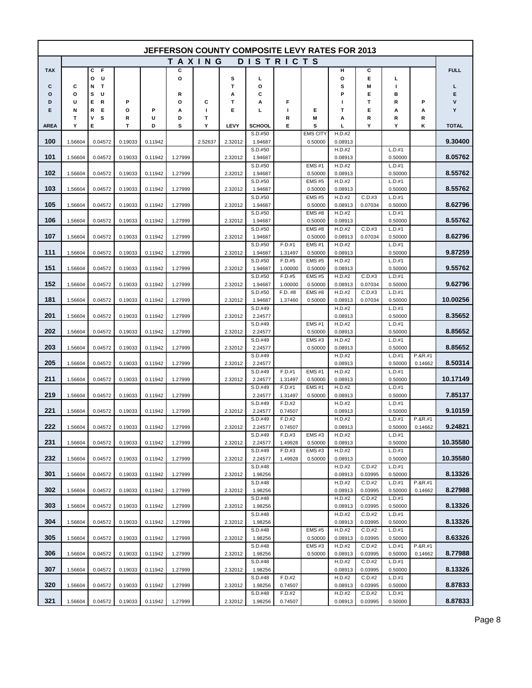|            |         |                  |         |         |               |         |         | JEFFERSON COUNTY COMPOSITE LEVY RATES FOR 2013 |                    |                         |                   |                   |                   |           |              |
|------------|---------|------------------|---------|---------|---------------|---------|---------|------------------------------------------------|--------------------|-------------------------|-------------------|-------------------|-------------------|-----------|--------------|
|            |         |                  |         |         | <b>TAXING</b> |         |         | <b>DISTRICTS</b>                               |                    |                         |                   |                   |                   |           |              |
| <b>TAX</b> |         | С<br>F           |         |         | С             |         |         |                                                |                    |                         | н                 | c                 |                   |           | <b>FULL</b>  |
|            |         | U<br>o           |         |         | Ο             |         | s<br>т  | г                                              |                    |                         | О                 | Е                 | L.                |           |              |
| С<br>O     | С<br>o  | т<br>N<br>s<br>U |         |         | R             |         | А       | О<br>с                                         |                    |                         | s<br>P            | M<br>Е            | I.<br>в           |           | L<br>Е       |
| D          | U       | Е<br>R           | Ρ       |         | Ο             | С       | т       | А                                              | F                  |                         | ı                 | Т                 | R                 | P         | v            |
| Е          | Ν       | R<br>Е           | О       | Р       | А             | L       | Е       | ц                                              | T                  | Е                       | т                 | Е                 | А                 | А         | Υ            |
|            | T       | ٧<br>s           | R       | U       | D             | т       |         |                                                | R                  | M                       | А                 | R                 | R                 | R         |              |
| AREA       | Υ       | Е                | т       | D       | s             | Υ       | LEVY    | <b>SCHOOL</b><br>S.D.#50                       | Е                  | s<br><b>EMS CITY</b>    | L<br>H.D.#2       | Υ                 | Υ                 | κ         | <b>TOTAL</b> |
| 100        | 1.56604 | 0.04572          | 0.19033 | 0.11942 |               | 2.52637 | 2.32012 | 1.94687                                        |                    | 0.50000                 | 0.08913           |                   |                   |           | 9.30400      |
|            |         |                  |         |         |               |         |         | S.D.#50                                        |                    |                         | H.D.#2            |                   | L.D.#1            |           |              |
| 101        | 1.56604 | 0.04572          | 0.19033 | 0.11942 | 1.27999       |         | 2.32012 | 1.94687                                        |                    |                         | 0.08913           |                   | 0.50000           |           | 8.05762      |
| 102        |         |                  |         |         |               |         |         | S.D.#50                                        |                    | <b>EMS#1</b>            | H.D.#2            |                   | L.D.#1            |           | 8.55762      |
|            | 1.56604 | 0.04572          | 0.19033 | 0.11942 | 1.27999       |         | 2.32012 | 1.94687<br>S.D.#50                             |                    | 0.50000<br><b>EMS#5</b> | 0.08913<br>H.D.#2 |                   | 0.50000<br>L.D.#1 |           |              |
| 103        | 1.56604 | 0.04572          | 0.19033 | 0.11942 | 1.27999       |         | 2.32012 | 1.94687                                        |                    | 0.50000                 | 0.08913           |                   | 0.50000           |           | 8.55762      |
|            |         |                  |         |         |               |         |         | S.D.#50                                        |                    | <b>EMS#5</b>            | H.D.#2            | C.D.#3            | L.D.#1            |           |              |
| 105        | 1.56604 | 0.04572          | 0.19033 | 0.11942 | 1.27999       |         | 2.32012 | 1.94687                                        |                    | 0.50000                 | 0.08913           | 0.07034           | 0.50000           |           | 8.62796      |
| 106        | 1.56604 | 0.04572          | 0.19033 | 0.11942 | 1.27999       |         | 2.32012 | S.D.#50<br>1.94687                             |                    | <b>EMS#8</b><br>0.50000 | H.D.#2<br>0.08913 |                   | L.D.#1<br>0.50000 |           | 8.55762      |
|            |         |                  |         |         |               |         |         | S.D.#50                                        |                    | <b>EMS#8</b>            | H.D.#2            | C.D.#3            | L.D.#1            |           |              |
| 107        | 1.56604 | 0.04572          | 0.19033 | 0.11942 | 1.27999       |         | 2.32012 | 1.94687                                        |                    | 0.50000                 | 0.08913           | 0.07034           | 0.50000           |           | 8.62796      |
|            |         |                  |         |         |               |         |         | S.D.#50                                        | F.D.#1             | <b>EMS#1</b>            | H.D.#2            |                   | L.D.#1            |           |              |
| 111        | 1.56604 | 0.04572          | 0.19033 | 0.11942 | 1.27999       |         | 2.32012 | 1.94687<br>S.D.#50                             | 1.31497<br>F.D.#5  | 0.50000<br><b>EMS#5</b> | 0.08913<br>H.D.#2 |                   | 0.50000<br>L.D.#1 |           | 9.87259      |
| 151        | 1.56604 | 0.04572          | 0.19033 | 0.11942 | 1.27999       |         | 2.32012 | 1.94687                                        | 1.00000            | 0.50000                 | 0.08913           |                   | 0.50000           |           | 9.55762      |
|            |         |                  |         |         |               |         |         | S.D.#50                                        | F.D.#5             | <b>EMS#5</b>            | H.D.#2            | C.D.#3            | L.D.#1            |           |              |
| 152        | 1.56604 | 0.04572          | 0.19033 | 0.11942 | 1.27999       |         | 2.32012 | 1.94687                                        | 1.00000            | 0.50000                 | 0.08913           | 0.07034           | 0.50000           |           | 9.62796      |
| 181        | 1.56604 | 0.04572          | 0.19033 | 0.11942 | 1.27999       |         | 2.32012 | S.D.#50<br>1.94687                             | F.D. #8<br>1.37460 | <b>EMS#8</b><br>0.50000 | H.D.#2<br>0.08913 | C.D.#3<br>0.07034 | L.D.#1<br>0.50000 |           | 10.00256     |
|            |         |                  |         |         |               |         |         | S.D.#49                                        |                    |                         | H.D.#2            |                   | L.D.#1            |           |              |
| 201        | 1.56604 | 0.04572          | 0.19033 | 0.11942 | 1.27999       |         | 2.32012 | 2.24577                                        |                    |                         | 0.08913           |                   | 0.50000           |           | 8.35652      |
|            |         |                  |         |         |               |         |         | S.D.#49                                        |                    | <b>EMS#1</b>            | H.D.#2            |                   | L.D.#1            |           |              |
| 202        | 1.56604 | 0.04572          | 0.19033 | 0.11942 | 1.27999       |         | 2.32012 | 2.24577                                        |                    | 0.50000<br><b>EMS#3</b> | 0.08913<br>H.D.#2 |                   | 0.50000           |           | 8.85652      |
| 203        | 1.56604 | 0.04572          | 0.19033 | 0.11942 | 1.27999       |         | 2.32012 | S.D.#49<br>2.24577                             |                    | 0.50000                 | 0.08913           |                   | L.D.#1<br>0.50000 |           | 8.85652      |
|            |         |                  |         |         |               |         |         | S.D.#49                                        |                    |                         | H.D.#2            |                   | L.D.#1            | $P.8R.+1$ |              |
| 205        | 1.56604 | 0.04572          | 0.19033 | 0.11942 | 1.27999       |         | 2.32012 | 2.24577                                        |                    |                         | 0.08913           |                   | 0.50000           | 0.14662   | 8.50314      |
| 211        | 1.56604 |                  |         |         | 1.27999       |         |         | S.D.#49                                        | F.D.#1             | <b>EMS#1</b>            | H.D.#2            |                   | L.D.#1            |           | 10.17149     |
|            |         | 0.04572          | 0.19033 | 0.11942 |               |         | 2.32012 | 2.24577<br>S.D.#49                             | 1.31497<br>F.D.#1  | 0.50000<br><b>EMS#1</b> | 0.08913<br>H.D.#2 |                   | 0.50000<br>L.D.#1 |           |              |
| 219        | 1.56604 | 0.04572          | 0.19033 | 0.11942 | 1.27999       |         |         | 2.24577                                        | 1.31497            | 0.50000                 | 0.08913           |                   | 0.50000           |           | 7.85137      |
|            |         |                  |         |         |               |         |         | S.D.#49                                        | F.D.#2             |                         | H.D.#2            |                   | L.D.#1            |           |              |
| 221        | 1.56604 | 0.04572          | 0.19033 | 0.11942 | 1.27999       |         | 2.32012 | 2.24577<br>S.D.#49                             | 0.74507<br>F.D.#2  |                         | 0.08913<br>H.D.#2 |                   | 0.50000<br>L.D.#1 | P.&R.#1   | 9.10159      |
| 222        | 1.56604 | 0.04572          | 0.19033 | 0.11942 | 1.27999       |         | 2.32012 | 2.24577                                        | 0.74507            |                         | 0.08913           |                   | 0.50000           | 0.14662   | 9.24821      |
|            |         |                  |         |         |               |         |         | S.D.#49                                        | F.D.#3             | <b>EMS#3</b>            | H.D.#2            |                   | L.D.#1            |           |              |
| 231        | 1.56604 | 0.04572          | 0.19033 | 0.11942 | 1.27999       |         | 2.32012 | 2.24577                                        | 1.49928            | 0.50000                 | 0.08913           |                   | 0.50000           |           | 10.35580     |
| 232        | 1.56604 | 0.04572          | 0.19033 | 0.11942 | 1.27999       |         | 2.32012 | S.D.#49<br>2.24577                             | F.D.#3<br>1.49928  | <b>EMS#3</b><br>0.50000 | H.D.#2<br>0.08913 |                   | L.D.#1<br>0.50000 |           | 10.35580     |
|            |         |                  |         |         |               |         |         | S.D.#48                                        |                    |                         | H.D.#2            | C.D.#2            | L.D.#1            |           |              |
| 301        | 1.56604 | 0.04572          | 0.19033 | 0.11942 | 1.27999       |         | 2.32012 | 1.98256                                        |                    |                         | 0.08913           | 0.03995           | 0.50000           |           | 8.13326      |
|            |         |                  |         |         |               |         |         | S.D.#48                                        |                    |                         | H.D.#2            | C.D.#2            | L.D.#1            | P.&R.#1   |              |
| 302        | 1.56604 | 0.04572          | 0.19033 | 0.11942 | 1.27999       |         | 2.32012 | 1.98256<br>S.D.#48                             |                    |                         | 0.08913<br>H.D.#2 | 0.03995<br>C.D.#2 | 0.50000<br>L.D.#1 | 0.14662   | 8.27988      |
| 303        | 1.56604 | 0.04572          | 0.19033 | 0.11942 | 1.27999       |         | 2.32012 | 1.98256                                        |                    |                         | 0.08913           | 0.03995           | 0.50000           |           | 8.13326      |
|            |         |                  |         |         |               |         |         | S.D.#48                                        |                    |                         | H.D.#2            | C.D.#2            | L.D.#1            |           |              |
| 304        | 1.56604 | 0.04572          | 0.19033 | 0.11942 | 1.27999       |         | 2.32012 | 1.98256                                        |                    |                         | 0.08913           | 0.03995           | 0.50000           |           | 8.13326      |
| 305        | 1.56604 | 0.04572          | 0.19033 | 0.11942 | 1.27999       |         | 2.32012 | S.D.#48<br>1.98256                             |                    | <b>EMS#5</b><br>0.50000 | H.D.#2<br>0.08913 | C.D.#2<br>0.03995 | L.D.#1<br>0.50000 |           | 8.63326      |
|            |         |                  |         |         |               |         |         | S.D.#48                                        |                    | <b>EMS#3</b>            | H.D.#2            | C.D.#2            | L.D.#1            | P.&R.#1   |              |
| 306        | 1.56604 | 0.04572          | 0.19033 | 0.11942 | 1.27999       |         | 2.32012 | 1.98256                                        |                    | 0.50000                 | 0.08913           | 0.03995           | 0.50000           | 0.14662   | 8.77988      |
|            |         |                  |         |         |               |         |         | S.D.#48                                        |                    |                         | H.D.#2            | C.D.#2            | L.D.#1            |           |              |
| 307        | 1.56604 | 0.04572          | 0.19033 | 0.11942 | 1.27999       |         | 2.32012 | 1.98256<br>S.D.#48                             | F.D.#2             |                         | 0.08913<br>H.D.#2 | 0.03995<br>C.D.#2 | 0.50000<br>L.D.#1 |           | 8.13326      |
| 320        | 1.56604 | 0.04572          | 0.19033 | 0.11942 | 1.27999       |         | 2.32012 | 1.98256                                        | 0.74507            |                         | 0.08913           | 0.03995           | 0.50000           |           | 8.87833      |
|            |         |                  |         |         |               |         |         | S.D.#48                                        | F.D.#2             |                         | H.D.#2            | C.D.#2            | L.D.#1            |           |              |
| 321        | 1.56604 | 0.04572          | 0.19033 | 0.11942 | 1.27999       |         | 2.32012 | 1.98256                                        | 0.74507            |                         | 0.08913           | 0.03995           | 0.50000           |           | 8.87833      |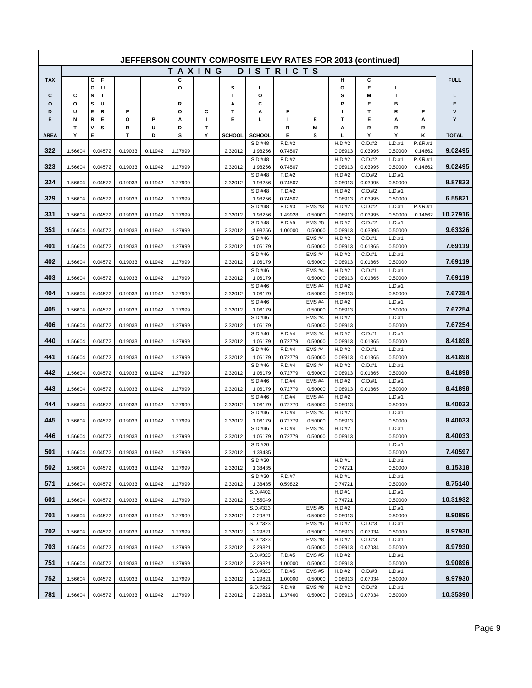|             | JEFFERSON COUNTY COMPOSITE LEVY RATES FOR 2013 (continued) |                  |         |         |         |   |               |                     |                   |                         |                   |                   |                   |                    |              |
|-------------|------------------------------------------------------------|------------------|---------|---------|---------|---|---------------|---------------------|-------------------|-------------------------|-------------------|-------------------|-------------------|--------------------|--------------|
|             |                                                            |                  |         |         | TAXING  |   |               | <b>DISTRICTS</b>    |                   |                         |                   |                   |                   |                    |              |
| <b>TAX</b>  |                                                            | с<br>F           |         |         | c       |   |               |                     |                   |                         | н                 | С                 |                   |                    | <b>FULL</b>  |
| c           | c                                                          | U<br>o<br>N<br>т |         |         | o       |   | s<br>T        | L<br>О              |                   |                         | o<br>s            | Е<br>M            | L<br>п            |                    | L            |
| O           | o                                                          | s<br>U           |         |         | R       |   | А             | c                   |                   |                         | P                 | Е                 | в                 |                    | Е            |
| D           | U                                                          | Е<br>R           | P       |         | О       | С | т             | А                   | F                 |                         | ı.                | Т                 | R                 | P                  | ۷            |
| Е           | Ν                                                          | Е<br>R           | o       | P       | А       | т | E             | ц                   | Т                 | Е                       | Т                 | Е                 | А                 | А                  | Υ            |
|             | T                                                          | s<br>٧           | R       | U       | D       | T |               |                     | R                 | M                       | Α                 | R                 | R                 | R                  |              |
| <b>AREA</b> | Υ                                                          | Е                | т       | D       | s       | Y | <b>SCHOOL</b> | SCHOOL              | Е                 | s                       | Ц                 | Y                 | Υ                 | Κ                  | <b>TOTAL</b> |
| 322         | 1.56604                                                    | 0.04572          | 0.19033 | 0.11942 | 1.27999 |   | 2.32012       | S.D.#48<br>1.98256  | F.D.#2<br>0.74507 |                         | H.D.#2<br>0.08913 | C.D.#2<br>0.03995 | L.D.#1<br>0.50000 | P.&R.#1<br>0.14662 | 9.02495      |
|             |                                                            |                  |         |         |         |   |               | S.D.#48             | F.D.#2            |                         | H.D.#2            | C.D.#2            | L.D.#1            | P.&R.#1            |              |
| 323         | 1.56604                                                    | 0.04572          | 0.19033 | 0.11942 | 1.27999 |   | 2.32012       | 1.98256             | 0.74507           |                         | 0.08913           | 0.03995           | 0.50000           | 0.14662            | 9.02495      |
|             |                                                            |                  |         |         |         |   |               | S.D.#48             | F.D.#2            |                         | H.D.#2            | C.D.#2            | L.D.#1            |                    |              |
| 324         | 1.56604                                                    | 0.04572          | 0.19033 | 0.11942 | 1.27999 |   | 2.32012       | 1.98256<br>S.D.#48  | 0.74507<br>F.D.#2 |                         | 0.08913<br>H.D.#2 | 0.03995<br>C.D.#2 | 0.50000<br>L.D.#1 |                    | 8.87833      |
| 329         | 1.56604                                                    | 0.04572          | 0.19033 | 0.11942 | 1.27999 |   |               | 1.98256             | 0.74507           |                         | 0.08913           | 0.03995           | 0.50000           |                    | 6.55821      |
|             |                                                            |                  |         |         |         |   |               | S.D.#48             | F.D.#3            | EMS#3                   | H.D.#2            | C.D.#2            | L.D.#1            | P.&R.#1            |              |
| 331         | 1.56604                                                    | 0.04572          | 0.19033 | 0.11942 | 1.27999 |   | 2.32012       | 1.98256             | 1.49928           | 0.50000                 | 0.08913           | 0.03995           | 0.50000           | 0.14662            | 10.27916     |
| 351         |                                                            |                  | 0.19033 | 0.11942 |         |   |               | S.D.#48             | F.D.#5<br>1.00000 | <b>EMS#5</b>            | H.D.#2            | C.D.#2            | L.D.#1            |                    | 9.63326      |
|             | 1.56604                                                    | 0.04572          |         |         | 1.27999 |   | 2.32012       | 1.98256<br>S.D.#46  |                   | 0.50000<br><b>EMS#4</b> | 0.08913<br>H.D.#2 | 0.03995<br>C.D.#1 | 0.50000<br>L.D.#1 |                    |              |
| 401         | 1.56604                                                    | 0.04572          | 0.19033 | 0.11942 | 1.27999 |   | 2.32012       | 1.06179             |                   | 0.50000                 | 0.08913           | 0.01865           | 0.50000           |                    | 7.69119      |
|             |                                                            |                  |         |         |         |   |               | S.D.#46             |                   | <b>EMS#4</b>            | H.D.#2            | C.D.#1            | L.D.#1            |                    |              |
| 402         | 1.56604                                                    | 0.04572          | 0.19033 | 0.11942 | 1.27999 |   | 2.32012       | 1.06179             |                   | 0.50000                 | 0.08913           | 0.01865           | 0.50000           |                    | 7.69119      |
| 403         | 1.56604                                                    | 0.04572          | 0.19033 | 0.11942 | 1.27999 |   | 2.32012       | S.D.#46<br>1.06179  |                   | <b>EMS#4</b><br>0.50000 | H.D.#2<br>0.08913 | C.D.#1<br>0.01865 | L.D.#1<br>0.50000 |                    | 7.69119      |
|             |                                                            |                  |         |         |         |   |               | S.D.#46             |                   | <b>EMS #4</b>           | H.D.#2            |                   | L.D.#1            |                    |              |
| 404         | 1.56604                                                    | 0.04572          | 0.19033 | 0.11942 | 1.27999 |   | 2.32012       | 1.06179             |                   | 0.50000                 | 0.08913           |                   | 0.50000           |                    | 7.67254      |
|             |                                                            |                  |         |         |         |   |               | S.D.#46             |                   | <b>EMS#4</b>            | H.D.#2            |                   | L.D.#1            |                    |              |
| 405         | 1.56604                                                    | 0.04572          | 0.19033 | 0.11942 | 1.27999 |   | 2.32012       | 1.06179<br>S.D.#46  |                   | 0.50000<br>EMS#4        | 0.08913<br>H.D.#2 |                   | 0.50000<br>L.D.#1 |                    | 7.67254      |
| 406         | 1.56604                                                    | 0.04572          | 0.19033 | 0.11942 | 1.27999 |   | 2.32012       | 1.06179             |                   | 0.50000                 | 0.08913           |                   | 0.50000           |                    | 7.67254      |
|             |                                                            |                  |         |         |         |   |               | S.D.#46             | F.D.#4            | EMS#4                   | H.D.#2            | C.D.#1            | L.D.#1            |                    |              |
| 440         | 1.56604                                                    | 0.04572          | 0.19033 | 0.11942 | 1.27999 |   | 2.32012       | 1.06179             | 0.72779           | 0.50000                 | 0.08913           | 0.01865           | 0.50000           |                    | 8.41898      |
| 441         | 1.56604                                                    | 0.04572          | 0.19033 | 0.11942 | 1.27999 |   | 2.32012       | S.D.#46<br>1.06179  | F.D.#4<br>0.72779 | EMS#4<br>0.50000        | H.D.#2<br>0.08913 | C.D.#1<br>0.01865 | L.D.#1<br>0.50000 |                    | 8.41898      |
|             |                                                            |                  |         |         |         |   |               | S.D.#46             | F.D.#4            | <b>EMS#4</b>            | H.D.#2            | C.D.#1            | L.D.#1            |                    |              |
| 442         | 1.56604                                                    | 0.04572          | 0.19033 | 0.11942 | 1.27999 |   | 2.32012       | 1.06179             | 0.72779           | 0.50000                 | 0.08913           | 0.01865           | 0.50000           |                    | 8.41898      |
| 443         |                                                            |                  |         |         |         |   |               | S.D.#46             | F.D.#4            | <b>EMS#4</b>            | H.D.#2            | C.D.#1            | L.D.#1            |                    |              |
|             | 1.56604                                                    | 0.04572          | 0.19033 | 0.11942 | 1.27999 |   | 2.32012       | 1.06179<br>S.D.#46  | 0.72779<br>F.D.#4 | 0.50000<br>EMS#4        | 0.08913<br>H.D.#2 | 0.01865           | 0.50000<br>L.D.#1 |                    | 8.41898      |
| 444         | 1.56604                                                    | 0.04572          | 0.19033 | 0.11942 | 1.27999 |   | 2.32012       | 1.06179             | 0.72779           | 0.50000                 | 0.08913           |                   | 0.50000           |                    | 8.40033      |
|             |                                                            |                  |         |         |         |   |               | S.D.#46             | F.D.#4            | EMS#4                   | H.D.#2            |                   | L.D.#1            |                    |              |
| 445         | 1.56604                                                    | 0.04572          | 0.19033 | 0.11942 | 1.27999 |   | 2.32012       | 1.06179             | 0.72779           | 0.50000                 | 0.08913           |                   | 0.50000           |                    | 8.40033      |
| 446         | 1.56604                                                    | 0.04572          | 0.19033 | 0.11942 | 1.27999 |   | 2.32012       | S.D.#46<br>1.06179  | F.D.#4<br>0.72779 | EMS#4<br>0.50000        | H.D.#2<br>0.08913 |                   | L.D.#1<br>0.50000 |                    | 8.40033      |
|             |                                                            |                  |         |         |         |   |               | S.D.#20             |                   |                         |                   |                   | L.D.#1            |                    |              |
| 501         | 1.56604                                                    | 0.04572          | 0.19033 | 0.11942 | 1.27999 |   | 2.32012       | 1.38435             |                   |                         |                   |                   | 0.50000           |                    | 7.40597      |
| 502         |                                                            |                  | 0.19033 |         | 1.27999 |   |               | S.D.#20             |                   |                         | H.D.#1            |                   | L.D.#1<br>0.50000 |                    | 8.15318      |
|             | 1.56604                                                    | 0.04572          |         | 0.11942 |         |   | 2.32012       | 1.38435<br>S.D.#20  | F.D.#7            |                         | 0.74721<br>H.D.#1 |                   | L.D.#1            |                    |              |
| 571         | 1.56604                                                    | 0.04572          | 0.19033 | 0.11942 | 1.27999 |   | 2.32012       | 1.38435             | 0.59822           |                         | 0.74721           |                   | 0.50000           |                    | 8.75140      |
|             |                                                            |                  |         |         |         |   |               | S.D.#402            |                   |                         | H.D.#1            |                   | L.D.#1            |                    |              |
| 601         | 1.56604                                                    | 0.04572          | 0.19033 | 0.11942 | 1.27999 |   | 2.32012       | 3.55049             |                   |                         | 0.74721           |                   | 0.50000           |                    | 10.31932     |
| 701         | 1.56604                                                    | 0.04572          | 0.19033 | 0.11942 | 1.27999 |   | 2.32012       | S.D.#323<br>2.29821 |                   | <b>EMS#5</b><br>0.50000 | H.D.#2<br>0.08913 |                   | L.D.#1<br>0.50000 |                    | 8.90896      |
|             |                                                            |                  |         |         |         |   |               | S.D.#323            |                   | <b>EMS #5</b>           | H.D.#2            | C.D.#3            | L.D.#1            |                    |              |
| 702         | 1.56604                                                    | 0.04572          | 0.19033 | 0.11942 | 1.27999 |   | 2.32012       | 2.29821             |                   | 0.50000                 | 0.08913           | 0.07034           | 0.50000           |                    | 8.97930      |
| 703         | 1.56604                                                    | 0.04572          | 0.19033 | 0.11942 | 1.27999 |   | 2.32012       | S.D.#323<br>2.29821 |                   | <b>EMS#8</b><br>0.50000 | H.D.#2<br>0.08913 | C.D.#3<br>0.07034 | L.D.#1<br>0.50000 |                    | 8.97930      |
|             |                                                            |                  |         |         |         |   |               | S.D.#323            | F.D.#5            | <b>EMS #5</b>           | H.D.#2            |                   | L.D.#1            |                    |              |
| 751         | 1.56604                                                    | 0.04572          | 0.19033 | 0.11942 | 1.27999 |   | 2.32012       | 2.29821             | 1.00000           | 0.50000                 | 0.08913           |                   | 0.50000           |                    | 9.90896      |
|             |                                                            |                  |         |         |         |   |               | S.D.#323            | F.D.#5            | <b>EMS #5</b>           | H.D.#2            | C.D.#3            | L.D.#1            |                    |              |
| 752         | 1.56604                                                    | 0.04572          | 0.19033 | 0.11942 | 1.27999 |   | 2.32012       | 2.29821<br>S.D.#323 | 1.00000<br>F.D.#8 | 0.50000<br><b>EMS#8</b> | 0.08913<br>H.D.#2 | 0.07034<br>C.D.#3 | 0.50000<br>L.D.#1 |                    | 9.97930      |
| 781         | 1.56604                                                    | 0.04572          | 0.19033 | 0.11942 | 1.27999 |   | 2.32012       | 2.29821             | 1.37460           | 0.50000                 | 0.08913           | 0.07034           | 0.50000           |                    | 10.35390     |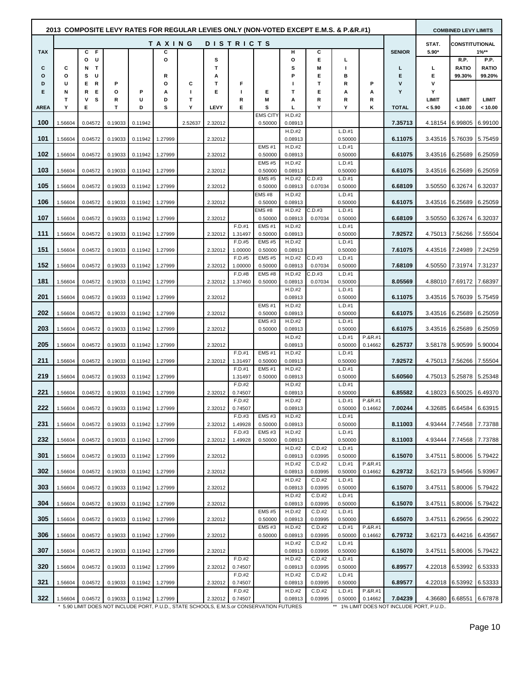|             |         |                  |         |                           |         |         |         |                   |                                                                                    |                   |                   | 2013 COMPOSITE LEVY RATES FOR REGULAR LEVIES ONLY (NON-VOTED EXCEPT E.M.S. & P.&R.#1) |                    |                                                      |         | <b>COMBINED LEVY LIMITS</b> |                 |
|-------------|---------|------------------|---------|---------------------------|---------|---------|---------|-------------------|------------------------------------------------------------------------------------|-------------------|-------------------|---------------------------------------------------------------------------------------|--------------------|------------------------------------------------------|---------|-----------------------------|-----------------|
|             |         |                  |         |                           | TAXING  |         |         | D I S T R I C T S |                                                                                    |                   |                   |                                                                                       |                    |                                                      | STAT.   | <b>CONSTITUTIONAL</b>       |                 |
| <b>TAX</b>  |         | C F<br>U<br>o    |         |                           | С<br>o  |         | s       |                   |                                                                                    | н<br>$\circ$      | c<br>E            | L                                                                                     |                    | <b>SENIOR</b>                                        | $5.90*$ | R.P.                        | $1\%**$<br>P.P. |
| С           | С       | T<br>N           |         |                           |         |         | т       |                   |                                                                                    | s                 | M                 |                                                                                       |                    | L                                                    | L       | <b>RATIO</b>                | <b>RATIO</b>    |
| о           | О       | U<br>s           |         |                           | R       |         | А       |                   |                                                                                    | P                 | Е                 | в                                                                                     |                    | Е                                                    | Е       | 99.30%                      | 99.20%          |
| D<br>Е      | U<br>Ν  | Е<br>R<br>Е<br>R | P<br>o  | P                         | ο<br>А  | С<br>J. | т<br>Е  | F<br>L            | Е                                                                                  | Ш<br>т            | т<br>Е            | R<br>Α                                                                                | P<br>А             | v<br>Y                                               | v<br>Υ  |                             |                 |
|             | т       | s<br>٧           | R       | U                         | D       | т       |         | R                 | Μ                                                                                  | А                 | R                 | R                                                                                     | R                  |                                                      | LIMIT   | <b>LIMIT</b>                | <b>LIMIT</b>    |
| <b>AREA</b> | Υ       | Е                | Т       | D                         | s       | Υ       | LEVY    | Е                 | s<br>EMS CITY                                                                      | г<br>H.D.#2       | Υ                 | Υ                                                                                     | κ                  | <b>TOTAL</b>                                         | < 5.90  | < 10.00                     | < 10.00         |
| 100         | 1.56604 | 0.04572          | 0.19033 | 0.11942                   |         | 2.52637 | 2.32012 |                   | 0.50000                                                                            | 0.08913           |                   |                                                                                       |                    | 7.35713                                              | 4.18154 | 6.99805                     | 6.99100         |
| 101         | 1.56604 | 0.04572          | 0.19033 | 0.11942                   | 1.27999 |         | 2.32012 |                   |                                                                                    | H.D.#2<br>0.08913 |                   | L.D.#1<br>0.50000                                                                     |                    | 6.11075                                              | 3.43516 |                             |                 |
|             |         |                  |         |                           |         |         |         |                   | <b>EMS#1</b>                                                                       | H.D.#2            |                   | L.D.#1                                                                                |                    |                                                      |         | 5.76039                     | 5.75459         |
| 102         | 1.56604 | 0.04572          | 0.19033 | 0.11942                   | 1.27999 |         | 2.32012 |                   | 0.50000                                                                            | 0.08913           |                   | 0.50000                                                                               |                    | 6.61075                                              | 3.43516 | 6.25689                     | 6.25059         |
| 103         | 1.56604 | 0.04572          | 0.19033 | 0.11942                   | 1.27999 |         | 2.32012 |                   | <b>EMS#5</b><br>0.50000                                                            | H.D.#2<br>0.08913 |                   | L.D.#1<br>0.50000                                                                     |                    | 6.61075                                              | 3.43516 | 6.25689                     | 6.25059         |
|             |         |                  |         |                           |         |         |         |                   | <b>EMS #5</b>                                                                      | H.D.#2            | C.D.#3            | L.D.#1                                                                                |                    |                                                      |         |                             |                 |
| 105         | 1.56604 | 0.04572          | 0.19033 | 0.11942                   | 1.27999 |         | 2.32012 |                   | 0.50000<br>EMS#8                                                                   | 0.08913<br>H.D.#2 | 0.07034           | 0.50000<br>L.D.#1                                                                     |                    | 6.68109                                              | 3.50550 | 6.32674                     | 6.32037         |
| 106         | 1.56604 | 0.04572          | 0.19033 | 0.11942                   | 1.27999 |         | 2.32012 |                   | 0.50000                                                                            | 0.08913           |                   | 0.50000                                                                               |                    | 6.61075                                              | 3.43516 | 6.25689                     | 6.25059         |
| 107         | 1.56604 | 0.04572          | 0.19033 | 0.11942                   | 1.27999 |         | 2.32012 |                   | EMS #8<br>0.50000                                                                  | H.D.#2<br>0.08913 | C.D.#3<br>0.07034 | L.D.#1<br>0.50000                                                                     |                    | 6.68109                                              | 3.50550 | 6.32674                     | 6.32037         |
|             |         |                  |         |                           |         |         |         | F.D.#1            | <b>EMS#1</b>                                                                       | H.D.#2            |                   | L.D.#1                                                                                |                    |                                                      |         |                             |                 |
| 111         | 1.56604 | 0.04572          | 0.19033 | 0.11942                   | 1.27999 |         | 2.32012 | 1.31497<br>F.D.#5 | 0.50000<br><b>EMS #5</b>                                                           | 0.08913<br>H.D.#2 |                   | 0.50000<br>L.D.#1                                                                     |                    | 7.92572                                              | 4.75013 | 7.56266                     | 7.55504         |
| 151         | 1.56604 | 0.04572          | 0.19033 | 0.11942                   | 1.27999 |         | 2.32012 | 1.00000           | 0.50000                                                                            | 0.08913           |                   | 0.50000                                                                               |                    | 7.61075                                              |         | 4.43516 7.24989 7.24259     |                 |
|             |         |                  |         |                           |         |         |         | F.D.#5            | <b>EMS #5</b>                                                                      | H.D.#2            | C.D.#3            | L.D.#1                                                                                |                    |                                                      |         |                             |                 |
| 152         | 1.56604 | 0.04572          | 0.19033 | 0.11942                   | 1.27999 |         | 2.32012 | 1.00000<br>F.D.#8 | 0.50000<br>EMS#8                                                                   | 0.08913<br>H.D.#2 | 0.07034<br>C.D.#3 | 0.50000<br>L.D.#1                                                                     |                    | 7.68109                                              | 4.50550 | 7.31974                     | 7.31237         |
| 181         | 1.56604 | 0.04572          | 0.19033 | 0.11942                   | 1.27999 |         | 2.32012 | 1.37460           | 0.50000                                                                            | 0.08913           | 0.07034           | 0.50000                                                                               |                    | 8.05569                                              |         | 4.88010 7.69172             | 7.68397         |
| 201         | 1.56604 | 0.04572          | 0.19033 | 0.11942                   | 1.27999 |         | 2.32012 |                   |                                                                                    | H.D.#2<br>0.08913 |                   | L.D.#1<br>0.50000                                                                     |                    | 6.11075                                              | 3.43516 | 5.76039                     | 5.75459         |
|             |         |                  |         |                           |         |         |         |                   | <b>EMS#1</b>                                                                       | H.D.#2            |                   | L.D.#1                                                                                |                    |                                                      |         |                             |                 |
| 202         | 1.56604 | 0.04572          | 0.19033 | 0.11942                   | 1.27999 |         | 2.32012 |                   | 0.50000<br><b>EMS#3</b>                                                            | 0.08913<br>H.D.#2 |                   | 0.50000<br>L.D.#1                                                                     |                    | 6.61075                                              | 3.43516 | 6.25689                     | 6.25059         |
| 203         | 1.56604 | 0.04572          | 0.19033 | 0.11942                   | 1.27999 |         | 2.32012 |                   | 0.50000                                                                            | 0.08913           |                   | 0.50000                                                                               |                    | 6.61075                                              | 3.43516 | 6.25689                     | 6.25059         |
| 205         | 1.56604 | 0.04572          | 0.19033 | 0.11942                   | 1.27999 |         | 2.32012 |                   |                                                                                    | H.D.#2<br>0.08913 |                   | L.D.#1<br>0.50000                                                                     | P.&R.#1<br>0.14662 | 6.25737                                              | 3.58178 | 5.90599                     | 5.90004         |
|             |         |                  |         |                           |         |         |         | F.D.#1            | <b>EMS#1</b>                                                                       | H.D.#2            |                   | L.D.#1                                                                                |                    |                                                      |         |                             |                 |
| 211         | 1.56604 | 0.04572          | 0.19033 | 0.11942                   | 1.27999 |         | 2.32012 | 1.31497<br>F.D.#1 | 0.50000<br><b>EMS#1</b>                                                            | 0.08913<br>H.D.#2 |                   | 0.50000<br>L.D.#1                                                                     |                    | 7.92572                                              | 4.75013 | 7.56266                     | 7.55504         |
| 219         | 1.56604 | 0.04572          | 0.19033 | 0.11942                   | 1.27999 |         |         | 1.31497           | 0.50000                                                                            | 0.08913           |                   | 0.50000                                                                               |                    | 5.60560                                              | 4.75013 | 5.25878                     | 5.25348         |
| 221         | 1.56604 | 0.04572          | 0.19033 | 0.11942                   | 1.27999 |         | 2.32012 | F.D.#2<br>0.74507 |                                                                                    | H.D.#2<br>0.08913 |                   | L.D.#1<br>0.50000                                                                     |                    | 6.85582                                              | 4.18023 | 6.50025                     | 6.49370         |
|             |         |                  |         |                           |         |         |         | F.D.#2            |                                                                                    | H.D.#2            |                   | L.D.#1                                                                                | P.&R.#1            |                                                      |         |                             |                 |
| 222         | 1.56604 | 0.04572          |         | 0.19033  0.11942  1.27999 |         |         | 2.32012 | 0.74507<br>F.D.#3 | EMS#3                                                                              | 0.08913<br>H.D.#2 |                   | 0.50000<br>L.D.#1                                                                     | 0.14662            | 7.00244                                              |         | 4.32685 6.64584 6.63915     |                 |
| 231         | 1.56604 | 0.04572          | 0.19033 | 0.11942                   | 1.27999 |         | 2.32012 | 1.49928           | 0.50000                                                                            | 0.08913           |                   | 0.50000                                                                               |                    | 8.11003                                              | 4.93444 | 7.74568                     | 7.73788         |
| 232         |         |                  |         |                           |         |         |         | F.D.#3            | EMS#3                                                                              | H.D.#2            |                   | L.D.#1<br>0.50000                                                                     |                    |                                                      | 4.93444 |                             |                 |
|             | 1.56604 | 0.04572          | 0.19033 | 0.11942                   | 1.27999 |         | 2.32012 | 1.49928           | 0.50000                                                                            | 0.08913<br>H.D.#2 | C.D.#2            | L.D.#1                                                                                |                    | 8.11003                                              |         | 7.74568                     | 7.73788         |
| 301         | 1.56604 | 0.04572          | 0.19033 | 0.11942                   | 1.27999 |         | 2.32012 |                   |                                                                                    | 0.08913           | 0.03995           | 0.50000                                                                               | P.&R.#1            | 6.15070                                              | 3.47511 | 5.80006                     | 5.79422         |
| 302         | 1.56604 | 0.04572          | 0.19033 | 0.11942                   | 1.27999 |         | 2.32012 |                   |                                                                                    | H.D.#2<br>0.08913 | C.D.#2<br>0.03995 | L.D.#1<br>0.50000                                                                     | 0.14662            | 6.29732                                              | 3.62173 | 5.94566                     | 5.93967         |
| 303         |         |                  |         |                           |         |         |         |                   |                                                                                    | H.D.#2            | C.D.#2            | L.D.#1                                                                                |                    |                                                      |         |                             |                 |
|             | 1.56604 | 0.04572          | 0.19033 | 0.11942                   | 1.27999 |         | 2.32012 |                   |                                                                                    | 0.08913<br>H.D.#2 | 0.03995<br>C.D.#2 | 0.50000<br>L.D.#1                                                                     |                    | 6.15070                                              | 3.47511 | 5.80006                     | 5.79422         |
| 304         | 1.56604 | 0.04572          | 0.19033 | 0.11942                   | 1.27999 |         | 2.32012 |                   |                                                                                    | 0.08913           | 0.03995           | 0.50000                                                                               |                    | 6.15070                                              | 3.47511 | 5.80006 5.79422             |                 |
| 305         | 1.56604 | 0.04572          | 0.19033 | 0.11942                   | 1.27999 |         | 2.32012 |                   | <b>EMS #5</b><br>0.50000                                                           | H.D.#2<br>0.08913 | C.D.#2<br>0.03995 | L.D.#1<br>0.50000                                                                     |                    | 6.65070                                              | 3.47511 | 6.29656                     | 6.29022         |
|             |         |                  |         |                           |         |         |         |                   | <b>EMS#3</b>                                                                       | H.D.#2            | C.D.#2            | L.D.#1                                                                                | $P.8R.+1$          |                                                      |         |                             |                 |
| 306         | 1.56604 | 0.04572          | 0.19033 | 0.11942                   | 1.27999 |         | 2.32012 |                   | 0.50000                                                                            | 0.08913<br>H.D.#2 | 0.03995<br>C.D.#2 | 0.50000<br>L.D.#1                                                                     | 0.14662            | 6.79732                                              | 3.62173 | 6.44216 6.43567             |                 |
| 307         | 1.56604 | 0.04572          | 0.19033 | 0.11942                   | 1.27999 |         | 2.32012 |                   |                                                                                    | 0.08913           | 0.03995           | 0.50000                                                                               |                    | 6.15070                                              | 3.47511 | 5.80006 5.79422             |                 |
| 320         | 1.56604 | 0.04572          | 0.19033 | 0.11942                   | 1.27999 |         | 2.32012 | F.D.#2<br>0.74507 |                                                                                    | H.D.#2<br>0.08913 | C.D.#2<br>0.03995 | L.D.#1<br>0.50000                                                                     |                    | 6.89577                                              | 4.22018 | 6.53992 6.53333             |                 |
|             |         |                  |         |                           |         |         |         | F.D.#2            |                                                                                    | H.D.#2            | C.D.#2            | L.D.#1                                                                                |                    |                                                      |         |                             |                 |
| 321         | 1.56604 | 0.04572          | 0.19033 | 0.11942                   | 1.27999 |         | 2.32012 | 0.74507<br>F.D.#2 |                                                                                    | 0.08913<br>H.D.#2 | 0.03995<br>C.D.#2 | 0.50000<br>L.D.#1                                                                     | P.&R.#1            | 6.89577                                              | 4.22018 | 6.53992                     | 6.53333         |
| 322         | 1.56604 | 0.04572          | 0.19033 | 0.11942 1.27999           |         |         | 2.32012 | 0.74507           | * 5.00 IMIT DOES NOT INCLUDE DODT DUID, STATE SCHOOLS EM S of CONSEDVATION FUTURES | 0.08913           | 0.03995           | 0.50000                                                                               | 0.14662            | 7.04239<br>** 10/ I IMIT DOES NOT INCLUDE DOPT RUI D |         | 4.36680 6.68551 6.67878     |                 |

IIT DOES NOT INCLUDE PORT, P.U.D., STATE SCHOOLS, E.M.S.or CONSERVATION F

DOES NOT INCLUDE PORT, P.U.D.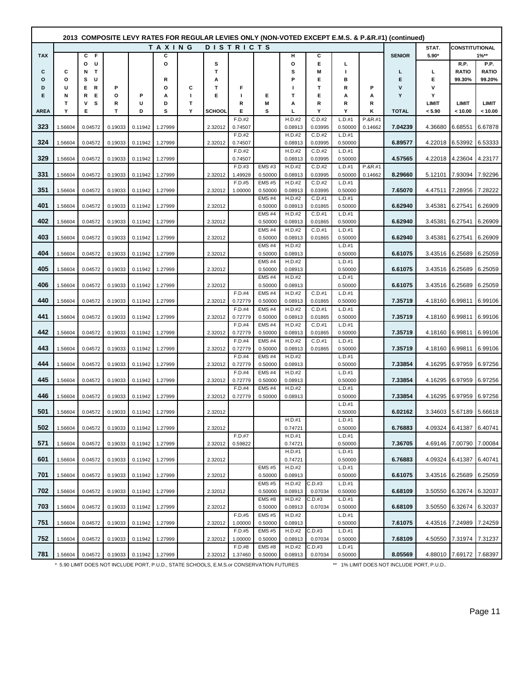|             |         |                  |         |         |         |         |               |                   |                              |                   |                   |                   |                    | (composite LEVY RATES FOR REGULAR LEVIES ONLY (NON-VOTED EXCEPT E.M.S. & P.&R.#1) (continued) |            |                         |                      |
|-------------|---------|------------------|---------|---------|---------|---------|---------------|-------------------|------------------------------|-------------------|-------------------|-------------------|--------------------|-----------------------------------------------------------------------------------------------|------------|-------------------------|----------------------|
|             |         |                  |         |         | TAXING  |         |               | <b>DISTRICTS</b>  |                              |                   |                   |                   |                    |                                                                                               | STAT.      | <b>CONSTITUTIONAL</b>   |                      |
| <b>TAX</b>  |         | - F<br>C<br>U    |         |         | С<br>O  |         |               |                   |                              | н<br>o            | С<br>Е            |                   |                    | <b>SENIOR</b>                                                                                 | $5.90*$    |                         | $1\%**$              |
| С           | С       | o<br>Т<br>N      |         |         |         |         | s<br>T        |                   |                              | S                 | M                 | г<br>п            |                    | L                                                                                             | L          | R.P.<br><b>RATIO</b>    | P.P.<br><b>RATIO</b> |
| o           | О       | s<br>U           |         |         | R       |         | А             |                   |                              | P                 | Е                 | в                 |                    | Е                                                                                             | Е          | 99.30%                  | 99.20%               |
| D           | U       | Е<br>R           | P       |         | O       | С       | т             | F                 |                              | ı                 | т                 | R                 | P                  | $\mathsf{v}$                                                                                  | ٧          |                         |                      |
| Е           | N<br>т  | R<br>Е<br>s<br>٧ | о<br>R  | Р<br>U  | А<br>D  | л.<br>т | Е             | J.<br>R           | Е<br>M                       | т<br>А            | Е<br>R            | А<br>R            | А<br>R             | Υ                                                                                             | Υ<br>LIMIT | <b>LIMIT</b>            | LIMIT                |
| <b>AREA</b> | Υ       | E                | т       | D       | s       | Υ       | <b>SCHOOL</b> | Е                 | s                            | L                 | Y                 | Υ                 | κ                  | <b>TOTAL</b>                                                                                  | < 5.90     | < 10.00                 | < 10.00              |
|             |         |                  |         |         |         |         |               | F.D.#2            |                              | H.D.#2            | C.D.#2            | L.D.#1            | P.&R.#1            |                                                                                               |            |                         |                      |
| 323         | 1.56604 | 0.04572          | 0.19033 | 0.11942 | 1.27999 |         | 2.32012       | 0.74507           |                              | 0.08913           | 0.03995           | 0.50000           | 0.14662            | 7.04239                                                                                       | 4.36680    | 6.68551                 | 6.67878              |
| 324         | 1.56604 | 0.04572          | 0.19033 | 0.11942 | 1.27999 |         | 2.32012       | F.D.#2<br>0.74507 |                              | H.D.#2<br>0.08913 | C.D.#2<br>0.03995 | L.D.#1<br>0.50000 |                    | 6.89577                                                                                       | 4.22018    | 6.53992                 | 6.53333              |
|             |         |                  |         |         |         |         |               | F.D.#2            |                              | H.D.#2            | C.D.#2            | L.D.#1            |                    |                                                                                               |            |                         |                      |
| 329         | 1.56604 | 0.04572          | 0.19033 | 0.11942 | 1.27999 |         |               | 0.74507           |                              | 0.08913           | 0.03995           | 0.50000           |                    | 4.57565                                                                                       | 4.22018    | 4.23604                 | 4.23177              |
| 331         | 1.56604 | 0.04572          | 0.19033 | 0.11942 | 1.27999 |         | 2.32012       | F.D.#3<br>1.49928 | <b>EMS#3</b><br>0.50000      | H.D.#2<br>0.08913 | C.D.#2<br>0.03995 | L.D.#1<br>0.50000 | P.&R.#1<br>0.14662 | 8.29660                                                                                       | 5.12101    | 7.93094                 | 7.92296              |
|             |         |                  |         |         |         |         |               | F.D.#5            | <b>EMS#5</b>                 | H.D.#2            | C.D.#2            | L.D.#1            |                    |                                                                                               |            |                         |                      |
| 351         | 1.56604 | 0.04572          | 0.19033 | 0.11942 | 1.27999 |         | 2.32012       | 1.00000           | 0.50000                      | 0.08913           | 0.03995           | 0.50000           |                    | 7.65070                                                                                       | 4.47511    | 7.28956                 | 7.28222              |
| 401         | 1.56604 | 0.04572          | 0.19033 | 0.11942 | 1.27999 |         | 2.32012       |                   | <b>EMS#4</b><br>0.50000      | H.D.#2<br>0.08913 | C.D.#1<br>0.01865 | L.D.#1<br>0.50000 |                    | 6.62940                                                                                       | 3.45381    | 6.27541                 | 6.26909              |
|             |         |                  |         |         |         |         |               |                   | <b>EMS#4</b>                 | H.D.#2            | C.D.#1            | L.D.#1            |                    |                                                                                               |            |                         |                      |
| 402         | 1.56604 | 0.04572          | 0.19033 | 0.11942 | 1.27999 |         | 2.32012       |                   | 0.50000                      | 0.08913           | 0.01865           | 0.50000           |                    | 6.62940                                                                                       | 3.45381    | 6.27541                 | 6.26909              |
| 403         | 1.56604 | 0.04572          | 0.19033 | 0.11942 | 1.27999 |         | 2.32012       |                   | <b>EMS#4</b><br>0.50000      | H.D.#2<br>0.08913 | C.D.#1<br>0.01865 | L.D.#1<br>0.50000 |                    | 6.62940                                                                                       | 3.45381    | 6.27541                 | 6.26909              |
|             |         |                  |         |         |         |         |               |                   | <b>EMS#4</b>                 | H.D.#2            |                   | L.D.#1            |                    |                                                                                               |            |                         |                      |
| 404         | 1.56604 | 0.04572          | 0.19033 | 0.11942 | 1.27999 |         | 2.32012       |                   | 0.50000                      | 0.08913           |                   | 0.50000           |                    | 6.61075                                                                                       | 3.43516    | 6.25689                 | 6.25059              |
|             |         |                  |         |         |         |         |               |                   | <b>EMS #4</b>                | H.D.#2            |                   | L.D.#1            |                    |                                                                                               |            |                         |                      |
| 405         | 1.56604 | 0.04572          | 0.19033 | 0.11942 | 1.27999 |         | 2.32012       |                   | 0.50000<br><b>EMS #4</b>     | 0.08913<br>H.D.#2 |                   | 0.50000<br>L.D.#1 |                    | 6.61075                                                                                       | 3.43516    | 6.25689                 | 6.25059              |
| 406         | 1.56604 | 0.04572          | 0.19033 | 0.11942 | 1.27999 |         | 2.32012       |                   | 0.50000                      | 0.08913           |                   | 0.50000           |                    | 6.61075                                                                                       | 3.43516    | 6.25689                 | 6.25059              |
|             |         |                  |         |         |         |         |               | F.D.#4            | EMS#4                        | H.D.#2            | C.D.#1            | L.D.#1            |                    |                                                                                               |            |                         |                      |
| 440         | 1.56604 | 0.04572          | 0.19033 | 0.11942 | 1.27999 |         | 2.32012       | 0.72779<br>F.D.#4 | 0.50000<br>EMS <sub>#4</sub> | 0.08913<br>H.D.#2 | 0.01865<br>C.D.#1 | 0.50000<br>L.D.#1 |                    | 7.35719                                                                                       | 4.18160    | 6.99811                 | 6.99106              |
| 441         | 1.56604 | 0.04572          | 0.19033 | 0.11942 | 1.27999 |         | 2.32012       | 0.72779           | 0.50000                      | 0.08913           | 0.01865           | 0.50000           |                    | 7.35719                                                                                       | 4.18160    | 6.99811                 | 6.99106              |
|             |         |                  |         |         |         |         |               | F.D.#4            | EMS#4                        | H.D.#2            | C.D.#1            | L.D.#1            |                    |                                                                                               |            |                         |                      |
| 442         | 1.56604 | 0.04572          | 0.19033 | 0.11942 | 1.27999 |         | 2.32012       | 0.72779<br>F.D.#4 | 0.50000<br><b>EMS #4</b>     | 0.08913<br>H.D.#2 | 0.01865<br>C.D.#1 | 0.50000<br>L.D.#1 |                    | 7.35719                                                                                       | 4.18160    | 6.99811                 | 6.99106              |
| 443         | 1.56604 | 0.04572          | 0.19033 | 0.11942 | 1.27999 |         | 2.32012       | 0.72779           | 0.50000                      | 0.08913           | 0.01865           | 0.50000           |                    | 7.35719                                                                                       | 4.18160    | 6.99811                 | 6.99106              |
|             |         |                  |         |         |         |         |               | F.D.#4            | <b>EMS #4</b>                | H.D.#2            |                   | L.D.#1            |                    |                                                                                               |            |                         |                      |
| 444         | 1.56604 | 0.04572          | 0.19033 | 0.11942 | 1.27999 |         | 2.32012       | 0.72779<br>F.D.#4 | 0.50000<br><b>EMS #4</b>     | 0.08913<br>H.D.#2 |                   | 0.50000<br>L.D.#1 |                    | 7.33854                                                                                       | 4.16295    | 6.97959                 | 6.97256              |
| 445         | 1.56604 | 0.04572          | 0.19033 | 0.11942 | 1.27999 |         | 2.32012       | 0.72779           | 0.50000                      | 0.08913           |                   | 0.50000           |                    | 7.33854                                                                                       | 4.16295    | 6.97959                 | 6.97256              |
|             |         |                  |         |         |         |         |               | F.D.#4            | EMS <sub>#4</sub>            | H.D.#2            |                   | L.D.#1            |                    |                                                                                               |            |                         |                      |
| 446         | 1.56604 | 0.04572          | 0.19033 | 0.11942 | 1.27999 |         | 2.32012       | 0.72779           | 0.50000                      | 0.08913           |                   | 0.50000           |                    | 7.33854                                                                                       | 4.16295    | 6.97959                 | 6.97256              |
| 501         | 1.56604 | 0.04572          | 0.19033 | 0.11942 | 1.27999 |         | 2.32012       |                   |                              |                   |                   | L.D.#1<br>0.50000 |                    | 6.02162                                                                                       | 3.34603    | 5.67189                 | 5.66618              |
|             |         |                  |         |         |         |         |               |                   |                              | H.D.#1            |                   | L.D.#1            |                    |                                                                                               |            |                         |                      |
| 502         | 1.56604 | 0.04572          | 0.19033 | 0.11942 | 1.27999 |         | 2.32012       | F.D.#7            |                              | 0.74721           |                   | 0.50000<br>L.D.#1 |                    | 6.76883                                                                                       |            | 4.09324 6.41387 6.40741 |                      |
| 571         | 1.56604 | 0.04572          | 0.19033 | 0.11942 | 1.27999 |         | 2.32012       | 0.59822           |                              | H.D.#1<br>0.74721 |                   | 0.50000           |                    | 7.36705                                                                                       | 4.69146    | 7.00790                 | 7.00084              |
|             |         |                  |         |         |         |         |               |                   |                              | H.D.#1            |                   | L.D.#1            |                    |                                                                                               |            |                         |                      |
| 601         | 1.56604 | 0.04572          | 0.19033 | 0.11942 | 1.27999 |         | 2.32012       |                   | <b>EMS #5</b>                | 0.74721<br>H.D.#2 |                   | 0.50000<br>L.D.#1 |                    | 6.76883                                                                                       | 4.09324    | 6.41387                 | 6.40741              |
| 701         | 1.56604 | 0.04572          | 0.19033 | 0.11942 | 1.27999 |         | 2.32012       |                   | 0.50000                      | 0.08913           |                   | 0.50000           |                    | 6.61075                                                                                       | 3.43516    | 6.25689                 | 6.25059              |
|             |         |                  |         |         |         |         |               |                   | <b>EMS #5</b>                | H.D.#2            | C.D.#3            | L.D.#1            |                    |                                                                                               |            |                         |                      |
| 702         | 1.56604 | 0.04572          | 0.19033 | 0.11942 | 1.27999 |         | 2.32012       |                   | 0.50000                      | 0.08913           | 0.07034           | 0.50000           |                    | 6.68109                                                                                       | 3.50550    | 6.32674                 | 6.32037              |
| 703         | 1.56604 | 0.04572          | 0.19033 | 0.11942 | 1.27999 |         | 2.32012       |                   | <b>EMS#8</b><br>0.50000      | H.D.#2<br>0.08913 | C.D.#3<br>0.07034 | L.D.#1<br>0.50000 |                    | 6.68109                                                                                       | 3.50550    | 6.32674                 | 6.32037              |
|             |         |                  |         |         |         |         |               | F.D.#5            | <b>EMS#5</b>                 | H.D.#2            |                   | L.D.#1            |                    |                                                                                               |            |                         |                      |
| 751         | 1.56604 | 0.04572          | 0.19033 | 0.11942 | 1.27999 |         | 2.32012       | 1.00000           | 0.50000                      | 0.08913           |                   | 0.50000           |                    | 7.61075                                                                                       |            | 4.43516 7.24989         | 7.24259              |
| 752         | 1.56604 | 0.04572          | 0.19033 | 0.11942 | 1.27999 |         | 2.32012       | F.D.#5<br>1.00000 | <b>EMS#5</b><br>0.50000      | H.D.#2<br>0.08913 | C.D.#3<br>0.07034 | L.D.#1<br>0.50000 |                    | 7.68109                                                                                       | 4.50550    | 7.31974                 | 7.31237              |
|             |         |                  |         |         |         |         |               | F.D.#8            | <b>EMS#8</b>                 | H.D.#2            | C.D.#3            | L.D.#1            |                    |                                                                                               |            |                         |                      |
| 781         | 1.56604 | 0.04572          | 0.19033 | 0.11942 | 1.27999 |         | 2.32012       | 1.37460           | 0.50000                      | 0.08913           | 0.07034           | 0.50000           |                    | 8.05569                                                                                       |            | 4.88010 7.69172 7.68397 |                      |

\* 5.90 LIMIT DOES NOT INCLUDE PORT, P.U.D., STATE SCHOOLS, E.M.S.or CONSERVATION FUTURES \*\* 1% LIMIT DOES NOT INCLUDE PORT, P.U.D..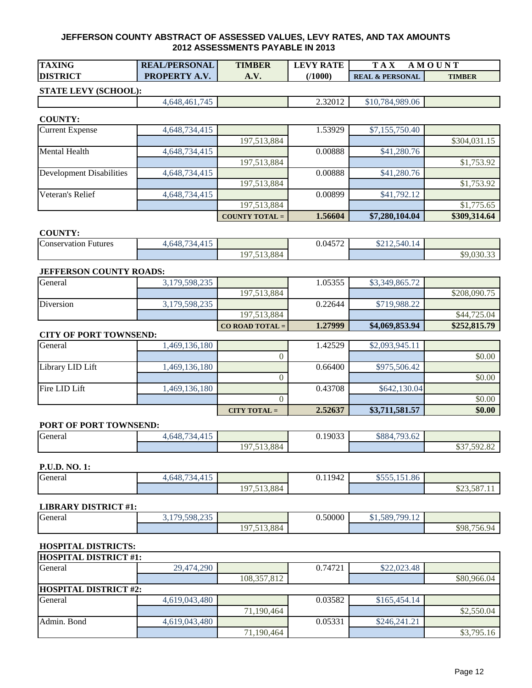| <b>TAXING</b>   | <b>REAL/PERSONAL</b>        | <b>TIMBER</b> | <b>LEVY RATE</b> | $T A_{\Lambda}$            | MOUNT         |
|-----------------|-----------------------------|---------------|------------------|----------------------------|---------------|
| <b>DISTRICT</b> | <b>PROPERTY</b><br>$\Delta$ | <b>A.V.</b>   | (/1000)          | <b>REAL &amp; PERSONAL</b> | <b>TIMBER</b> |
|                 |                             |               |                  |                            |               |

## **STATE LEVY (SCHOOL):**

4,648,461,745 2.32012 \$10,784,989.06

#### **COUNTY:**

| <b>Current Expense</b>   | 4,648,734,415 |                       | 1.53929 | \$7,155,750.40 |              |
|--------------------------|---------------|-----------------------|---------|----------------|--------------|
|                          |               | 197,513,884           |         |                | \$304,031.15 |
| <b>Mental Health</b>     | 4,648,734,415 |                       | 0.00888 | \$41,280.76    |              |
|                          |               | 197,513,884           |         |                | \$1,753.92   |
| Development Disabilities | 4,648,734,415 |                       | 0.00888 | \$41,280.76    |              |
|                          |               | 197,513,884           |         |                | \$1,753.92   |
| Veteran's Relief         | 4,648,734,415 |                       | 0.00899 | \$41,792.12    |              |
|                          |               | 197,513,884           |         |                | \$1,775.65   |
|                          |               | <b>COUNTY TOTAL =</b> | 1.56604 | \$7,280,104.04 | \$309,314.64 |

#### **COUNTY:**

| Conservation F<br>Futures | $\sim$ $\sim$<br>$\cdots$<br>4.648.<br>$\sim$<br>. . J |             | 0.01572<br>0.0457<br>- - | 0.12.540<br>\$212.540.14 |                                                             |
|---------------------------|--------------------------------------------------------|-------------|--------------------------|--------------------------|-------------------------------------------------------------|
|                           |                                                        | 197,513,884 |                          |                          | $\sim$<br>$\triangle$<br>$\sim$ $\sim$ $\sim$<br>\$9.U3U.33 |

#### **JEFFERSON COUNTY ROADS:**

| General   | 3,179,598,235 |                   | .05355  | \$3,349,865.72 |              |
|-----------|---------------|-------------------|---------|----------------|--------------|
|           |               | 197,513,884       |         |                | \$208,090.75 |
| Diversion | 3,179,598,235 |                   | 0.22644 | \$719.988.22   |              |
|           |               | 197,513,884       |         |                | \$44,725.04  |
|           |               | $CO$ ROAD TOTAL = | 1.27999 | \$4,069,853.94 | \$252,815.79 |

#### **CITY OF PORT TOWNSEND:**

| General          | 1,469,136,180 |                 | 1.42529 | \$2,093,945.11 |        |
|------------------|---------------|-----------------|---------|----------------|--------|
|                  |               |                 |         |                | \$0.00 |
| Library LID Lift | 1,469,136,180 |                 | 0.66400 | \$975,506.42   |        |
|                  |               |                 |         |                | \$0.00 |
| Fire LID Lift    | 1,469,136,180 |                 | 0.43708 | \$642,130.04   |        |
|                  |               |                 |         |                | \$0.00 |
|                  |               | $CITY TO TAL =$ | 2.52637 | \$3,711,581.57 | \$0.00 |

#### **PORT OF PORT TOWNSEND:**

| General | $\sim$ $\sim$ $\sim$<br>4.4.7<br>.648.7<br>≺⊿<br>. |                  | 0.19033 | 702.62<br>\$884<br>13.OZ |                                                                          |
|---------|----------------------------------------------------|------------------|---------|--------------------------|--------------------------------------------------------------------------|
|         |                                                    | 513,884<br>197,5 |         |                          | $\wedge$ $\wedge$ $\wedge$<br>$\sim$ $\sim$<br>$\sim$<br>1.972.02<br>ر ب |
|         |                                                    |                  |         |                          |                                                                          |

#### **P.U.D. NO. 1:**

| General | $\sim$ $\sim$<br>$\overline{4}$ $\overline{4}$ $\overline{5}$<br>4.648.<br>ື<br>᠇⊥◡<br>$\sim$ $\prime$ |                                         | 0.11942 | $A = F = 1.51 \cdot 0.6$<br>$\mathbf{v}$<br>0.131.00 |                                                |
|---------|--------------------------------------------------------------------------------------------------------|-----------------------------------------|---------|------------------------------------------------------|------------------------------------------------|
|         |                                                                                                        | 513,884<br>$\Omega$<br>$\lambda$<br>ے ، |         |                                                      | $\sim$ $\sim$ $\sim$<br>ሰሰሰ<br>.<br>023,001.11 |

#### **LIBRARY DISTRICT #1:**

| $\sim$<br>General<br>. | 598 235<br>70<br>,,,,,,<br>. <i>.</i><br>ັ |                              | 0.50000 | 70012<br>\$1,589,7<br>′ ∕ .⊥∠ |                                |
|------------------------|--------------------------------------------|------------------------------|---------|-------------------------------|--------------------------------|
|                        |                                            | 7.513.884<br>10 <sup>7</sup> |         |                               | $- - -$<br>\$98.<br>ЧΔ<br>156. |

## **HOSPITAL DISTRICTS:**

| <b>HOSPITAL DISTRICT #1:</b> |               |               |         |              |             |  |  |  |
|------------------------------|---------------|---------------|---------|--------------|-------------|--|--|--|
| General                      | 29,474,290    |               | 0.74721 | \$22,023.48  |             |  |  |  |
|                              |               | 108, 357, 812 |         |              | \$80,966.04 |  |  |  |
| <b>HOSPITAL DISTRICT #2:</b> |               |               |         |              |             |  |  |  |
| General                      | 4,619,043,480 |               | 0.03582 | \$165,454.14 |             |  |  |  |
|                              |               | 71,190,464    |         |              | \$2,550.04  |  |  |  |
| Admin. Bond                  | 4,619,043,480 |               | 0.05331 | \$246,241.21 |             |  |  |  |
|                              |               | 71,190,464    |         |              | \$3,795.16  |  |  |  |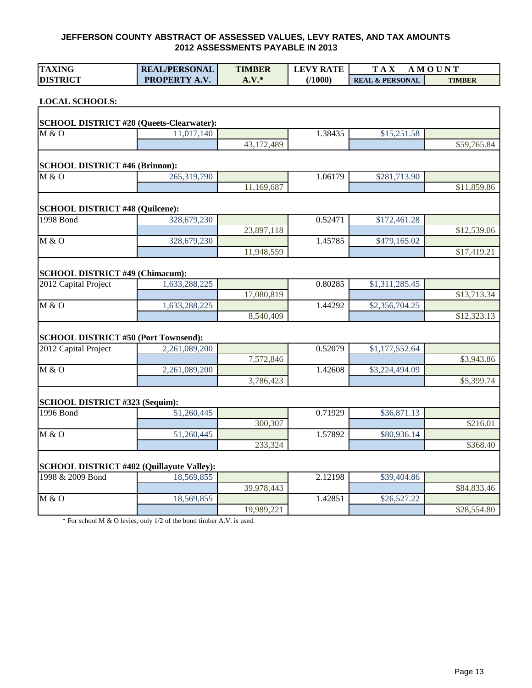| <b>TAXING</b>                                    | <b>REAL/PERSONAL</b> | <b>TIMBER</b> | <b>LEVY RATE</b> | <b>TAX</b>                 | <b>AMOUNT</b> |
|--------------------------------------------------|----------------------|---------------|------------------|----------------------------|---------------|
| <b>DISTRICT</b>                                  | PROPERTY A.V.        | $A.V.*$       | (1000)           | <b>REAL &amp; PERSONAL</b> | <b>TIMBER</b> |
|                                                  |                      |               |                  |                            |               |
| <b>LOCAL SCHOOLS:</b>                            |                      |               |                  |                            |               |
| <b>SCHOOL DISTRICT #20 (Queets-Clearwater):</b>  |                      |               |                  |                            |               |
| M & O                                            | 11,017,140           |               | 1.38435          | \$15,251.58                |               |
|                                                  |                      | 43,172,489    |                  |                            | \$59,765.84   |
|                                                  |                      |               |                  |                            |               |
| <b>SCHOOL DISTRICT #46 (Brinnon):</b>            |                      |               |                  |                            |               |
| M & O                                            | 265,319,790          |               | 1.06179          | \$281,713.90               |               |
|                                                  |                      | 11,169,687    |                  |                            | \$11,859.86   |
|                                                  |                      |               |                  |                            |               |
| SCHOOL DISTRICT #48 (Quilcene):                  |                      |               |                  |                            |               |
| 1998 Bond                                        | 328,679,230          |               | 0.52471          | \$172,461.28               |               |
|                                                  |                      | 23,897,118    |                  |                            | \$12,539.06   |
| M & O                                            | 328,679,230          |               | 1.45785          | \$479,165.02               |               |
|                                                  |                      | 11,948,559    |                  |                            | \$17,419.21   |
| <b>SCHOOL DISTRICT #49 (Chimacum):</b>           |                      |               |                  |                            |               |
| 2012 Capital Project                             | 1,633,288,225        |               | 0.80285          | \$1,311,285.45             |               |
|                                                  |                      | 17,080,819    |                  |                            | \$13,713.34   |
| M & O                                            | 1,633,288,225        |               | 1.44292          | \$2,356,704.25             |               |
|                                                  |                      | 8,540,409     |                  |                            | \$12,323.13   |
|                                                  |                      |               |                  |                            |               |
| <b>SCHOOL DISTRICT #50 (Port Townsend):</b>      |                      |               |                  |                            |               |
| 2012 Capital Project                             | 2,261,089,200        |               | 0.52079          | \$1,177,552.64             |               |
|                                                  |                      | 7,572,846     |                  |                            | \$3,943.86    |
| M & O                                            | 2,261,089,200        |               | 1.42608          | \$3,224,494.09             |               |
|                                                  |                      | 3,786,423     |                  |                            | \$5,399.74    |
|                                                  |                      |               |                  |                            |               |
| SCHOOL DISTRICT #323 (Sequim):                   |                      |               |                  |                            |               |
| 1996 Bond                                        | 51,260,445           |               | 0.71929          | \$36,871.13                |               |
|                                                  |                      | 300,307       |                  |                            | \$216.01      |
| M & O                                            | 51,260,445           |               | 1.57892          | \$80,936.14                |               |
|                                                  |                      | 233,324       |                  |                            | \$368.40      |
| <b>SCHOOL DISTRICT #402 (Quillayute Valley):</b> |                      |               |                  |                            |               |
| 1998 & 2009 Bond                                 | 18,569,855           |               | 2.12198          | \$39,404.86                |               |
|                                                  |                      | 39,978,443    |                  |                            | \$84,833.46   |
| M & O                                            | 18,569,855           |               | 1.42851          | \$26,527.22                |               |
|                                                  |                      | 19,989,221    |                  |                            | \$28,554.80   |

\* For school M & O levies, only 1/2 of the bond timber A.V. is used.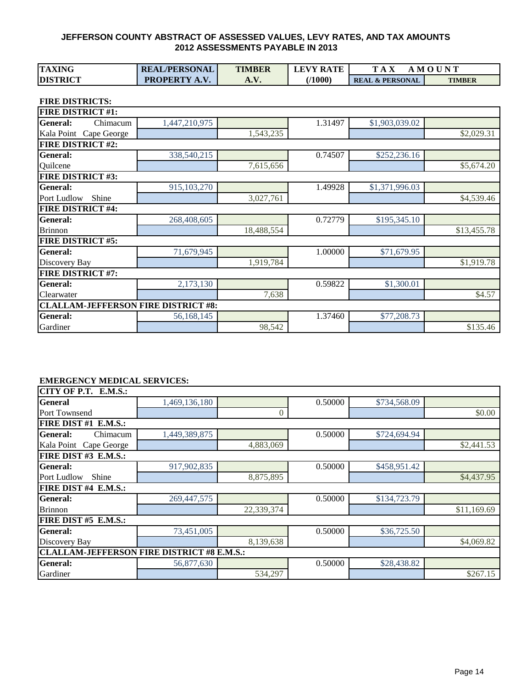| TAXING<br><b>TIMBER</b><br><b>REAL/PERSONAL</b><br><b>LEVY RATE</b> | M<br>A                     | .4 O U N <sup>T</sup> |
|---------------------------------------------------------------------|----------------------------|-----------------------|
| 71000)<br><b>DISTRICT</b><br><b>PROPERTY</b><br>A.V.                | <b>REAL &amp; PERSONAL</b> | <b>TIMBER</b>         |

**FIRE DISTRICTS:**

| <b>FIRE DISTRICT #1:</b>                   |               |            |         |                |             |
|--------------------------------------------|---------------|------------|---------|----------------|-------------|
| <b>General:</b><br>Chimacum                | 1,447,210,975 |            | 1.31497 | \$1,903,039.02 |             |
| Kala Point Cape George                     |               | 1,543,235  |         |                | \$2,029.31  |
| <b>FIRE DISTRICT #2:</b>                   |               |            |         |                |             |
| <b>General:</b>                            | 338,540,215   |            | 0.74507 | \$252,236.16   |             |
| Quilcene                                   |               | 7,615,656  |         |                | \$5,674.20  |
| <b>FIRE DISTRICT #3:</b>                   |               |            |         |                |             |
| <b>General:</b>                            | 915,103,270   |            | 1.49928 | \$1,371,996.03 |             |
| Port Ludlow<br>Shine                       |               | 3,027,761  |         |                | \$4,539.46  |
| <b>FIRE DISTRICT #4:</b>                   |               |            |         |                |             |
| <b>General:</b>                            | 268,408,605   |            | 0.72779 | \$195,345.10   |             |
| <b>Brinnon</b>                             |               | 18,488,554 |         |                | \$13,455.78 |
| <b>FIRE DISTRICT #5:</b>                   |               |            |         |                |             |
| <b>General:</b>                            | 71,679,945    |            | 1.00000 | \$71,679.95    |             |
| Discovery Bay                              |               | 1,919,784  |         |                | \$1,919.78  |
| <b>FIRE DISTRICT #7:</b>                   |               |            |         |                |             |
| <b>General:</b>                            | 2,173,130     |            | 0.59822 | \$1,300.01     |             |
| Clearwater                                 |               | 7,638      |         |                | \$4.57      |
| <b>CLALLAM-JEFFERSON FIRE DISTRICT #8:</b> |               |            |         |                |             |
| <b>General:</b>                            | 56,168,145    |            | 1.37460 | \$77,208.73    |             |
| Gardiner                                   |               | 98,542     |         |                | \$135.46    |

#### **EMERGENCY MEDICAL SERVICES:**

| CITY OF P.T. E.M.S.:                              |               |            |         |              |             |
|---------------------------------------------------|---------------|------------|---------|--------------|-------------|
| General                                           | 1,469,136,180 |            | 0.50000 | \$734,568.09 |             |
| Port Townsend                                     |               | 0          |         |              | \$0.00      |
| FIRE DIST #1 E.M.S.:                              |               |            |         |              |             |
| <b>General:</b><br>Chimacum                       | 1,449,389,875 |            | 0.50000 | \$724,694.94 |             |
| Kala Point Cape George                            |               | 4,883,069  |         |              | \$2,441.53  |
| FIRE DIST #3 E.M.S.:                              |               |            |         |              |             |
| <b>General:</b>                                   | 917,902,835   |            | 0.50000 | \$458,951.42 |             |
| Shine<br>Port Ludlow                              |               | 8,875,895  |         |              | \$4,437.95  |
| FIRE DIST #4 E.M.S.:                              |               |            |         |              |             |
| <b>General:</b>                                   | 269, 447, 575 |            | 0.50000 | \$134,723.79 |             |
| <b>Brinnon</b>                                    |               | 22,339,374 |         |              | \$11,169.69 |
| FIRE DIST #5 E.M.S.:                              |               |            |         |              |             |
| General:                                          | 73,451,005    |            | 0.50000 | \$36,725.50  |             |
| Discovery Bay                                     |               | 8,139,638  |         |              | \$4,069.82  |
| <b>CLALLAM-JEFFERSON FIRE DISTRICT #8 E.M.S.:</b> |               |            |         |              |             |
| <b>General:</b>                                   | 56,877,630    |            | 0.50000 | \$28,438.82  |             |
| Gardiner                                          |               | 534,297    |         |              | \$267.15    |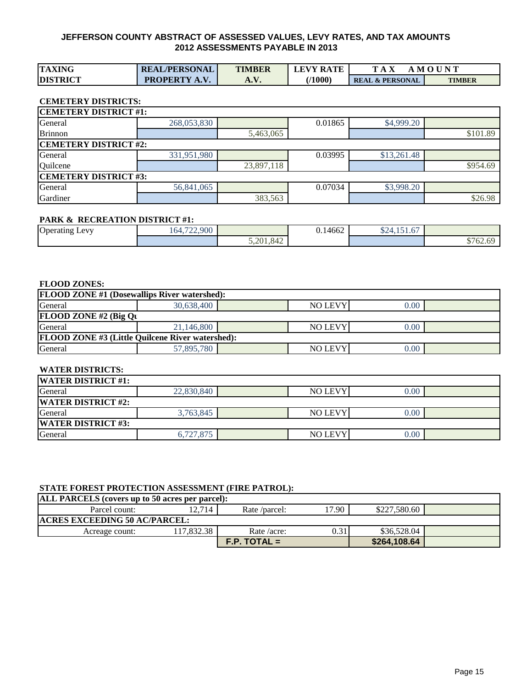| <b>TAXING</b>   | <b>REAL/PERSONAL</b> | <b>TIMBER</b> | <b>LEVY RATE</b> | m                          | . M O U N T   |
|-----------------|----------------------|---------------|------------------|----------------------------|---------------|
| <b>DISTRICT</b> | <b>PROPERTY A.V.</b> | A. V.         | 71000            | <b>REAL &amp; PERSONAL</b> | <b>TIMBER</b> |

## **CEMETERY DISTRICTS:**

| <b>CEMETERY DISTRICT #1:</b> |             |            |         |             |          |  |  |
|------------------------------|-------------|------------|---------|-------------|----------|--|--|
| General                      | 268,053,830 |            | 0.01865 | \$4,999.20  |          |  |  |
| <b>Brinnon</b>               |             | 5,463,065  |         |             | \$101.89 |  |  |
| <b>CEMETERY DISTRICT #2:</b> |             |            |         |             |          |  |  |
| General                      | 331,951,980 |            | 0.03995 | \$13,261.48 |          |  |  |
| Quilcene                     |             | 23,897,118 |         |             | \$954.69 |  |  |
| <b>CEMETERY DISTRICT #3:</b> |             |            |         |             |          |  |  |
| General                      | 56,841,065  |            | 0.07034 | \$3,998.20  |          |  |  |
| Gardiner                     |             | 383,563    |         |             | \$26.98  |  |  |

#### **PARK & RECREATION DISTRICT #1:**

| <b>Operating Levy</b><br>U | .722.900<br>$\sim$ $\prime$<br>164.7 |           | 477<br>-<br>$\sim$<br>0.14662 | $\triangle$<br>$\sim$ $\sim$<br>$\overline{\phantom{a}}$<br>D24, 151.0 |                                                         |
|----------------------------|--------------------------------------|-----------|-------------------------------|------------------------------------------------------------------------|---------------------------------------------------------|
|                            |                                      | 5,201,842 |                               |                                                                        | $\overline{\phantom{0}}$<br>$\sim$ $\sim$<br>n<br>102.6 |

#### **FLOOD ZONES:**

| <b>FLOOD ZONE #1 (Dosewallips River watershed):</b>     |            |  |                |      |  |  |  |  |  |  |  |  |
|---------------------------------------------------------|------------|--|----------------|------|--|--|--|--|--|--|--|--|
| General                                                 | 30.638,400 |  | <b>NO LEVY</b> | 0.00 |  |  |  |  |  |  |  |  |
| FLOOD ZONE #2 (Big $Qv$                                 |            |  |                |      |  |  |  |  |  |  |  |  |
| General                                                 | 21,146,800 |  | <b>NO LEVY</b> | 0.00 |  |  |  |  |  |  |  |  |
| <b>FLOOD ZONE #3 (Little Quilcene River watershed):</b> |            |  |                |      |  |  |  |  |  |  |  |  |
| General                                                 | 57,895,780 |  | <b>NO LEVY</b> | 0.00 |  |  |  |  |  |  |  |  |

#### **WATER DISTRICTS:**

| <b>WATER DISTRICT #1:</b> |            |  |                |      |  |  |  |  |  |  |  |  |
|---------------------------|------------|--|----------------|------|--|--|--|--|--|--|--|--|
| General                   | 22,830,840 |  | <b>NO LEVY</b> | 0.00 |  |  |  |  |  |  |  |  |
| <b>WATER DISTRICT #2:</b> |            |  |                |      |  |  |  |  |  |  |  |  |
| General                   | 3,763,845  |  | <b>NO LEVY</b> | 0.00 |  |  |  |  |  |  |  |  |
| <b>WATER DISTRICT #3:</b> |            |  |                |      |  |  |  |  |  |  |  |  |
| General                   | 6,727,875  |  | <b>NO LEVY</b> | 0.00 |  |  |  |  |  |  |  |  |

## **STATE FOREST PROTECTION ASSESSMENT (FIRE PATROL):**

| <b>ALL PARCELS</b> (covers up to 50 acres per parcel): |           |                |       |              |  |  |  |  |  |  |  |  |
|--------------------------------------------------------|-----------|----------------|-------|--------------|--|--|--|--|--|--|--|--|
| Parcel count:                                          | 12.714    | Rate /parcel:  | 17.90 | \$227,580.60 |  |  |  |  |  |  |  |  |
| <b>ACRES EXCEEDING 50 AC/PARCEL:</b>                   |           |                |       |              |  |  |  |  |  |  |  |  |
| Acreage count:                                         | 17.832.38 | Rate/acre:     | 0.31  | \$36,528.04  |  |  |  |  |  |  |  |  |
|                                                        |           | $F.P.$ TOTAL = |       | \$264,108.64 |  |  |  |  |  |  |  |  |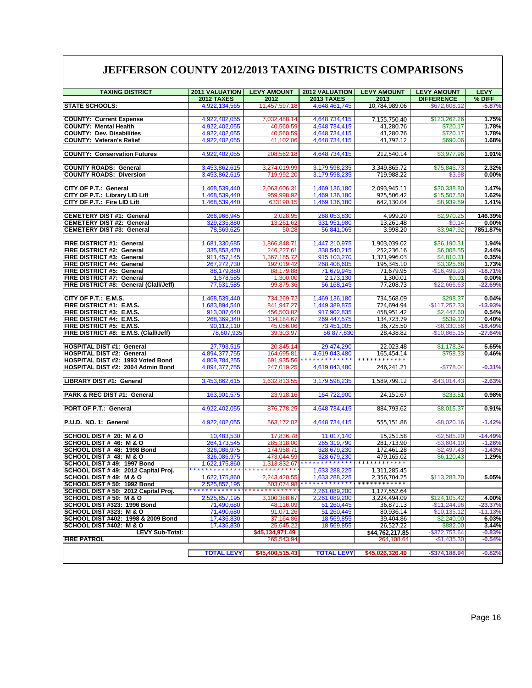## **JEFFERSON COUNTY 2012/2013 TAXING DISTRICTS COMPARISONS**

| <b>TAXING DISTRICT</b>                                              | 2011 VALUATION                       | <b>LEVY AMOUNT</b>              | 2012 VALUATION                         | <b>LEVY AMOUNT</b>                    | <b>LEVY AMOUNT</b> | <b>LEVY</b> |
|---------------------------------------------------------------------|--------------------------------------|---------------------------------|----------------------------------------|---------------------------------------|--------------------|-------------|
|                                                                     | <b>2012 TAXES</b>                    | 2012                            | <b>2013 TAXES</b>                      | 2013                                  | <b>DIFFERENCE</b>  | % DIFF      |
| <b>STATE SCHOOLS:</b>                                               | 4,922,134,565                        | 11,457,597.18                   | 4,648,461,745                          | 10,784,989.06                         | $-$ \$672,608.12   | $-5.87%$    |
|                                                                     |                                      |                                 |                                        |                                       |                    |             |
| <b>COUNTY: Current Expense</b>                                      | 4,922,402,055                        | 7,032,488.14                    | 4,648,734,415                          | 7,155,750.40                          | \$123,262.26       | 1.75%       |
| <b>COUNTY: Mental Health</b>                                        | 4,922,402,055                        | 40,560.59                       | 4,648,734,415                          | 41,280.76                             | \$720.17           | 1.78%       |
| <b>COUNTY: Dev. Disabilities</b>                                    | 4,922,402,055                        | 40,560.59                       | 4,648,734,415                          | 41,280.76                             | \$720.17           | 1.78%       |
| <b>COUNTY: Veteran's Relief</b>                                     | 4,922,402,055                        | 41.102.06                       | 4,648,734,415                          | 41,792.12                             | \$690.06           | 1.68%       |
|                                                                     |                                      |                                 |                                        |                                       |                    |             |
| <b>COUNTY: Conservation Futures</b>                                 | 4,922,402,055                        | 208,562.18                      | 4,648,734,415                          | 212,540.14                            | \$3,977.96         | 1.91%       |
|                                                                     |                                      |                                 |                                        |                                       |                    |             |
| <b>COUNTY ROADS: General</b>                                        | 3,453,862,615                        | 3,274,019.99<br>719.992.20      | 3,179,598,235                          | 3,349,865.72                          | \$75,845.73        | 2.32%       |
| <b>COUNTY ROADS: Diversion</b>                                      | 3,453,862,615                        |                                 | 3,179,598,235                          | 719,988.22                            | $-$3.98$           | 0.00%       |
| CITY OF P.T.: General                                               | 1,468,539,440                        | 2,063,606.31                    | 1,469,136,180                          | 2,093,945.11                          | \$30,338.80        | 1.47%       |
| CITY OF P.T.: Library LID Lift                                      | 1,468,539,440                        | 959,998.92                      | 1,469,136,180                          | 975,506.42                            | \$15,507.50        | 1.62%       |
| <b>CITY OF P.T.: Fire LID Lift</b>                                  | 1,468,539,440                        | 633190.15                       | 1,469,136,180                          | 642,130.04                            | \$8,939.89         | 1.41%       |
|                                                                     |                                      |                                 |                                        |                                       |                    |             |
| <b>CEMETERY DIST #1: General</b>                                    | 266,966,945                          | 2,028.95                        | 268,053,830                            | 4,999.20                              | \$2,970.25         | 146.39%     |
| <b>CEMETERY DIST #2: General</b>                                    | 329,235,880                          | 13,261.62                       | 331,951,980                            | 13,261.48                             | $-$0.14$           | $0.00\%$    |
| <b>CEMETERY DIST #3: General</b>                                    | 78,569,625                           | 50.28                           | 56,841,065                             | 3,998.20                              | \$3,947.92         | 7851.87%    |
|                                                                     |                                      |                                 |                                        |                                       |                    |             |
| FIRE DISTRICT #1: General                                           | 1,681,330,685                        | 1,866,848.71                    | 1,447,210,975                          | 1,903,039.02                          | \$36,190.31        | 1.94%       |
| FIRE DISTRICT #2: General                                           | 335,853,470                          | 246,227.61                      | 338,540,215                            | 252,236.16                            | \$6,008.55         | 2.44%       |
| FIRE DISTRICT #3: General                                           | 911,457,145                          | 1.367.185.72                    | 915, 103, 270                          | 1,371,996.03                          | \$4,810.31         | 0.35%       |
| <b>FIRE DISTRICT #4: General</b>                                    | 267,272,730                          | 192,019.42                      | 268,408,605                            | 195,345.10                            | \$3,325.68         | 1.73%       |
| FIRE DISTRICT #5: General                                           | 88,179,880                           | 88,179.88                       | 71,679,945                             | 71,679.95                             | $-$16,499.93$      | $-18.71%$   |
| <b>FIRE DISTRICT #7: General</b>                                    | 1,678,585                            | 1,300.00                        | 2,173,130                              | 1,300.01                              | \$0.01             | 0.00%       |
| FIRE DISTRICT #8: General (Clall/Jeff)                              | 77,631,585                           | 99,875.36                       | 56,168,145                             | 77,208.73                             | $-$ \$22,666.63    | $-22.69%$   |
| CITY OF $P.T.: E.M.S.$                                              | 1,468,539,440                        | 734,269.72                      | 1,469,136,180                          | 734,568.09                            | \$298.37           | 0.04%       |
| <b>FIRE DISTRICT #1: E.M.S.</b>                                     | 1,683,894,540                        | 841,947.27                      | 1,449,389,875                          | 724,694.94                            | $-$117,252.33$     | $-13.93%$   |
| FIRE DISTRICT #3: E.M.S.                                            | 913,007,640                          | 456,503.82                      | 917,902,835                            | 458,951.42                            | \$2,447.60         | 0.54%       |
| FIRE DISTRICT #4: E.M.S.                                            | 268,369,340                          | 134,184.67                      | 269,447,575                            | 134,723.79                            | \$539.12           | 0.40%       |
| <b>FIRE DISTRICT #5: E.M.S.</b>                                     | 90,112,110                           | 45,056.06                       | 73,451,005                             | 36,725.50                             | $-$8,330.56$       | $-18.49%$   |
| FIRE DISTRICT #8: E.M.S. (Clall/Jeff)                               | 78,607,935                           | 39,303.97                       | 56,877,630                             | 28,438.82                             | $-$10,865.15$      | $-27.64%$   |
|                                                                     |                                      |                                 |                                        |                                       |                    |             |
| <b>HOSPITAL DIST #1: General</b>                                    | 27,793,515                           | 20,845.14                       | 29,474,290                             | 22,023.48                             | \$1,178.34         | 5.65%       |
| <b>HOSPITAL DIST #2: General</b>                                    | 4,894,377,755                        | 164,695.81                      | 4,619,043,480                          | 165,454.14                            | \$758.33           | 0.46%       |
| HOSPITAL DIST #2: 1993 Voted Bond                                   | 4,809,784,255                        | 691,935.56                      |                                        |                                       |                    |             |
| HOSPITAL DIST #2: 2004 Admin Bond                                   | 4,894,377,755                        | 247,019.25                      | 4,619,043,480                          | 246,241.21                            | $-$778.04$         | $-0.31%$    |
|                                                                     |                                      |                                 |                                        |                                       |                    |             |
| LIBRARY DIST #1: General                                            | 3,453,862,615                        | 1,632,813.55                    | 3,179,598,235                          | 1,589,799.12                          | $-$43,014.43$      | $-2.63%$    |
|                                                                     |                                      |                                 |                                        |                                       |                    | 0.98%       |
| PARK & REC DIST #1: General                                         | 163,901,575                          | 23,918.16                       | 164,722,900                            | 24,151.67                             | \$233.51           |             |
| <b>PORT OF P.T.: General</b>                                        | 4,922,402,055                        | 876,778.25                      | 4,648,734,415                          | 884,793.62                            | \$8,015.37         | 0.91%       |
|                                                                     |                                      |                                 |                                        |                                       |                    |             |
| P.U.D. NO. 1: General                                               | 4,922,402,055                        | 563,172.02                      | 4,648,734,415                          | 555,151.86                            | $-$8,020.16$       | $-1.42%$    |
|                                                                     |                                      |                                 |                                        |                                       |                    |             |
| SCHOOL DIST # 20: M & O                                             | 10,483,530                           | 17,836.78                       | 11,017,140                             | 15,251.58                             | $-$2,585.20$       | $-14.49%$   |
| SCHOOL DIST# 46: M & O                                              | 264, 173, 545                        | 285.318.00                      | 265,319,790                            | 281,713.90                            | $-$3,604.10$       | $-1.26%$    |
| SCHOOL DIST # 48: 1998 Bond                                         | 326,086,975                          | 174,958.71                      | 328,679,230                            | 172,461.28                            | $-$2,497.43$       | $-1.43%$    |
| SCHOOL DIST # 48: M & O                                             | 326,086,975                          | 473.044.59                      | 328,679,230                            | 479,165.02<br>* * * * * * * * * * * * | \$6,120.43         | 1.29%       |
| SCHOOL DIST #49: 1997 Bond                                          | 1,622,175,860                        | 1,313,832.67                    | * * * * * * * * * * * *                |                                       |                    |             |
| SCHOOL DIST # 49: 2012 Capital Proj.                                |                                      |                                 | 1,633,288,225                          | 1,311,285.45                          |                    |             |
| SCHOOL DIST #49: M & O                                              | 1,622,175,860                        | 2,243,420.55                    | 1,633,288,225<br>* * * * * * * * * * * | 2,356,704.25                          | \$113,283.70       | 5.05%       |
| SCHOOL DIST # 50: 1992 Bond<br>SCHOOL DIST # 50: 2012 Capital Proj. | 2,525,857,195<br>* * * * * * * * * * | 503,074.98<br>* * * * * * * * * | 2,261,089,200                          |                                       |                    |             |
| SCHOOL DIST # 50: M & O                                             | 2,525,857,195                        | 3,100,388.67                    | 2,261,089,200                          | 1,177,552.64<br>3,224,494.09          | \$124,105.42       | 4.00%       |
| SCHOOL DIST #323: 1996 Bond                                         | 71,490,680                           | 48,116.09                       | 51,260,445                             | 36,871.13                             | $-$11,244.96$      | $-23.37%$   |
| SCHOOL DIST #323: M & O                                             | 71,490,680                           | 91,071.26                       | 51,260,445                             | 80,936.14                             | $-$10,135.12$      | $-11.13%$   |
| SCHOOL DIST #402: 1998 & 2009 Bond                                  | 17,436,830                           | 37,164.86                       | 18,569,855                             | 39,404.86                             | \$2,240.00         | 6.03%       |
| SCHOOL DIST #402: M & O                                             | 17,436,830                           | 25,645.22                       | 18,569,855                             | 26,527.22                             | \$882.00           | 3.44%       |
| LEVY Sub-Total:                                                     |                                      | \$45,134,971.49                 |                                        | \$44,762,217.85                       | $-$372,753.64$     | $-0.83%$    |
| <b>FIRE PATROL</b>                                                  |                                      | 265,543.94                      |                                        | 264,108.64                            | $-$1,435.30$       | $-0.54%$    |
|                                                                     |                                      |                                 |                                        |                                       |                    |             |
|                                                                     | <b>TOTAL LEVY</b>                    | \$45,400,515.43                 | <b>TOTAL LEVY</b>                      | \$45,026,326.49                       | $-$374,188.94$     | $-0.82%$    |
|                                                                     |                                      |                                 |                                        |                                       |                    |             |